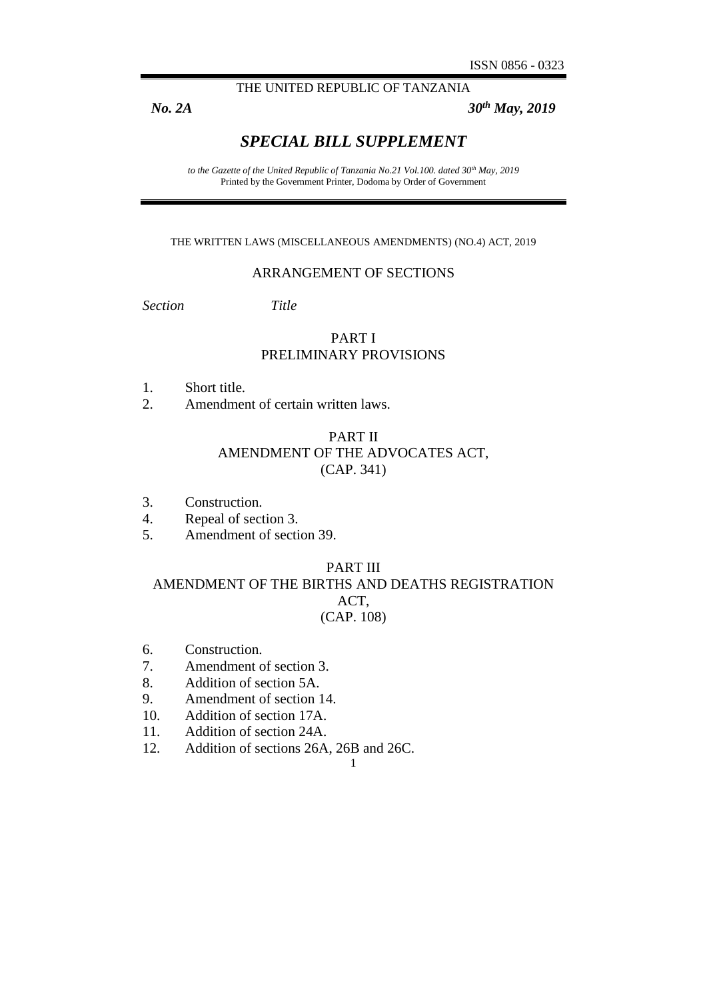#### THE UNITED REPUBLIC OF TANZANIA

*No. 2A 30th May, 2019*

# *SPECIAL BILL SUPPLEMENT*

*to the Gazette of the United Republic of Tanzania No.21 Vol.100. dated 30th May, 2019* Printed by the Government Printer, Dodoma by Order of Government

#### THE WRITTEN LAWS (MISCELLANEOUS AMENDMENTS) (NO.4) ACT, 2019

### ARRANGEMENT OF SECTIONS

*Section Title*

## PART I PRELIMINARY PROVISIONS

- 1. Short title.
- 2. Amendment of certain written laws.

#### PART II

## AMENDMENT OF THE ADVOCATES ACT, (CAP. 341)

- 3. Construction.
- 4. Repeal of section 3.
- 5. Amendment of section 39.

## PART III AMENDMENT OF THE BIRTHS AND DEATHS REGISTRATION ACT, (CAP. 108)

- 6. Construction.
- 7. Amendment of section 3.
- 8. Addition of section 5A.
- 9. Amendment of section 14.
- 10. Addition of section 17A.
- 11. Addition of section 24A.
- 12. Addition of sections 26A, 26B and 26C.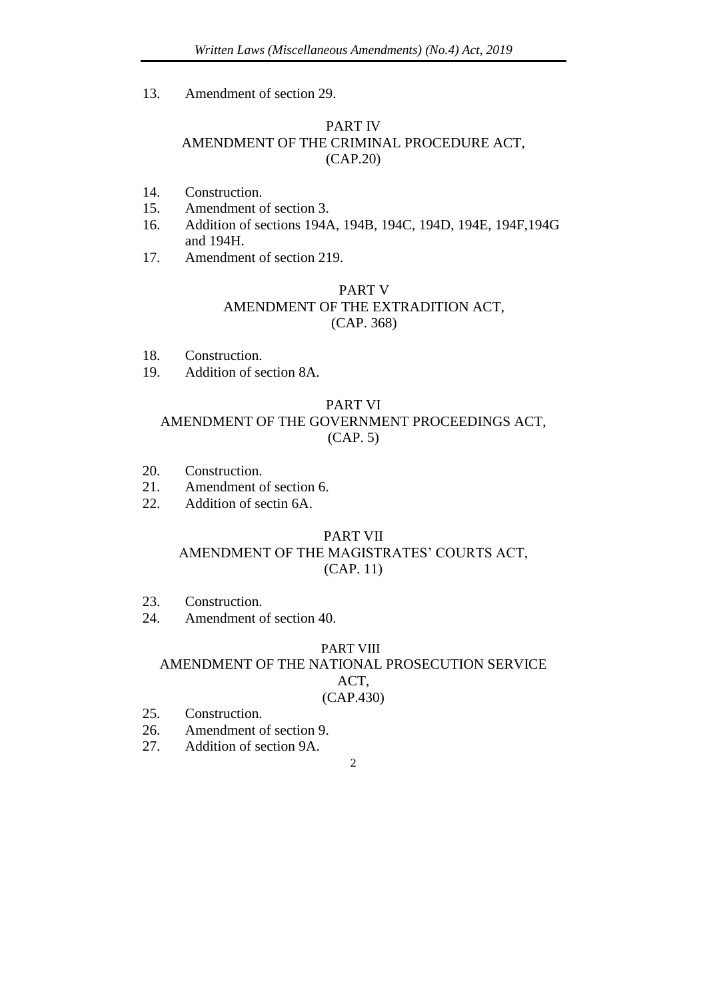13. Amendment of section 29.

## PART IV AMENDMENT OF THE CRIMINAL PROCEDURE ACT, (CAP.20)

- 14. Construction.
- 15. Amendment of section 3.
- 16. Addition of sections 194A, 194B, 194C, 194D, 194E, 194F,194G and 194H.
- 17. Amendment of section 219.

## PART V AMENDMENT OF THE EXTRADITION ACT, (CAP. 368)

- 18. Construction.
- 19. Addition of section 8A.

### PART VI

## AMENDMENT OF THE GOVERNMENT PROCEEDINGS ACT, (CAP. 5)

- 20. Construction.
- 21. Amendment of section 6.
- 22. Addition of sectin 6A.

#### PART VII

## AMENDMENT OF THE MAGISTRATES' COURTS ACT, (CAP. 11)

- 23. Construction.
- 24. Amendment of section 40.

### PART VIII AMENDMENT OF THE NATIONAL PROSECUTION SERVICE ACT, (CAP.430)

- 25. Construction.
- 26. Amendment of section 9.
- 27. Addition of section 9A.
- 2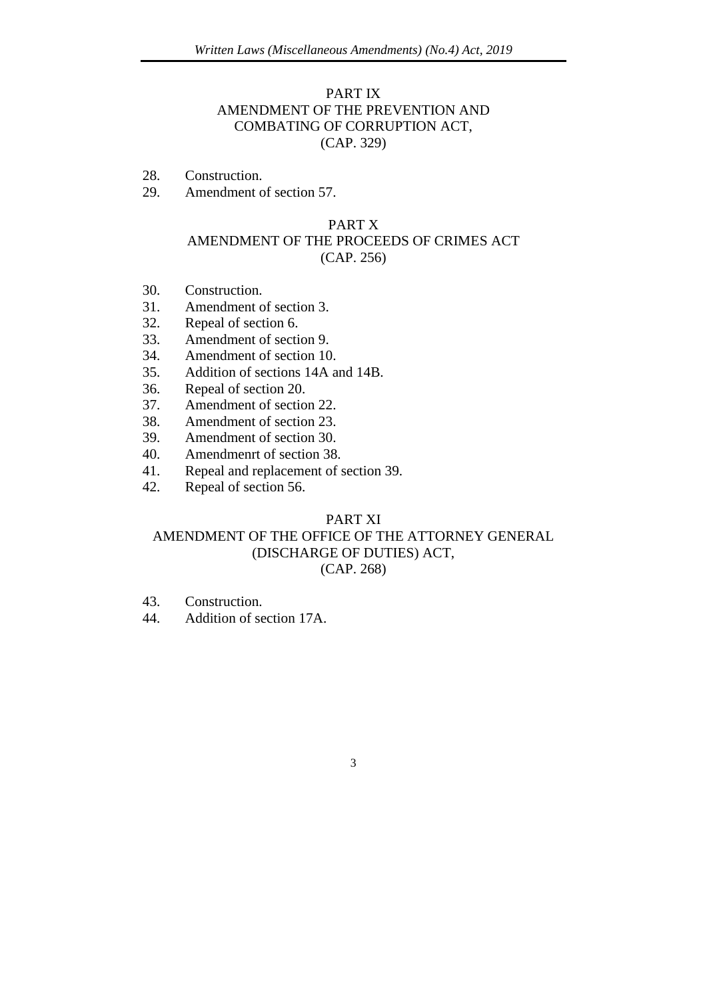## PART IX AMENDMENT OF THE PREVENTION AND COMBATING OF CORRUPTION ACT, (CAP. 329)

- 28. Construction.
- 29. Amendment of section 57.

## PART X AMENDMENT OF THE PROCEEDS OF CRIMES ACT (CAP. 256)

- 30. Construction.
- 31. Amendment of section 3.
- 32. Repeal of section 6.
- 33. Amendment of section 9.
- 34. Amendment of section 10.
- 35. Addition of sections 14A and 14B.
- 36. Repeal of section 20.
- 37. Amendment of section 22.
- 38. Amendment of section 23.
- 39. Amendment of section 30.
- 40. Amendmenrt of section 38.
- 41. Repeal and replacement of section 39.
- 42. Repeal of section 56.

## PART XI

## AMENDMENT OF THE OFFICE OF THE ATTORNEY GENERAL (DISCHARGE OF DUTIES) ACT, (CAP. 268)

- 43. Construction.
- 44. Addition of section 17A.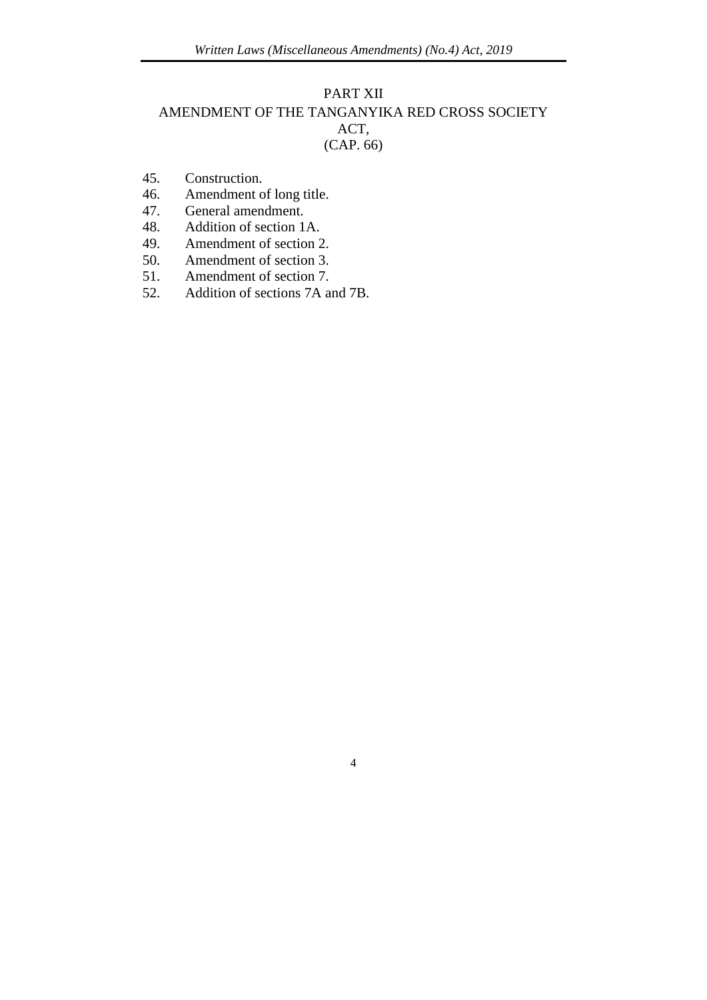## PART XII AMENDMENT OF THE TANGANYIKA RED CROSS SOCIETY ACT, (CAP. 66)

- 45. Construction.
- 46. Amendment of long title.
- 47. General amendment.
- 48. Addition of section 1A.
- 49. Amendment of section 2.
- 50. Amendment of section 3.
- 51. Amendment of section 7.
- 52. Addition of sections 7A and 7B.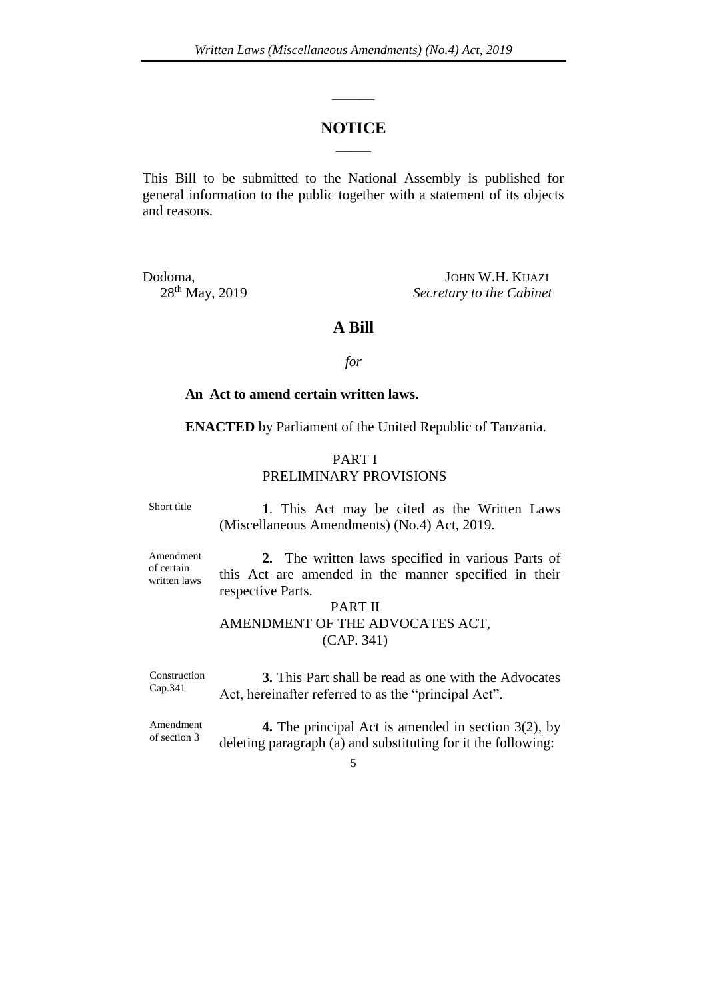## **NOTICE**  $\overline{\phantom{a}}$

 $\overline{\phantom{a}}$ 

This Bill to be submitted to the National Assembly is published for general information to the public together with a statement of its objects and reasons.

Dodoma, JOHN W.H. KIJAZI<br>28<sup>th</sup> May, 2019 Secretary to the Cabinei **Secretary to the Cabinet** 

## **A Bill**

### *for*

#### **An Act to amend certain written laws.**

**ENACTED** by Parliament of the United Republic of Tanzania.

### PART I PRELIMINARY PROVISIONS

Short title **1**. This Act may be cited as the Written Laws (Miscellaneous Amendments) (No.4) Act, 2019.

Amendment of certain written laws

**2.** The written laws specified in various Parts of this Act are amended in the manner specified in their respective Parts.

## PART II AMENDMENT OF THE ADVOCATES ACT, (CAP. 341)

Construction Cap.341 **3.** This Part shall be read as one with the Advocates Act, hereinafter referred to as the "principal Act".

Amendment of section 3 **4.** The principal Act is amended in section 3(2), by deleting paragraph (a) and substituting for it the following: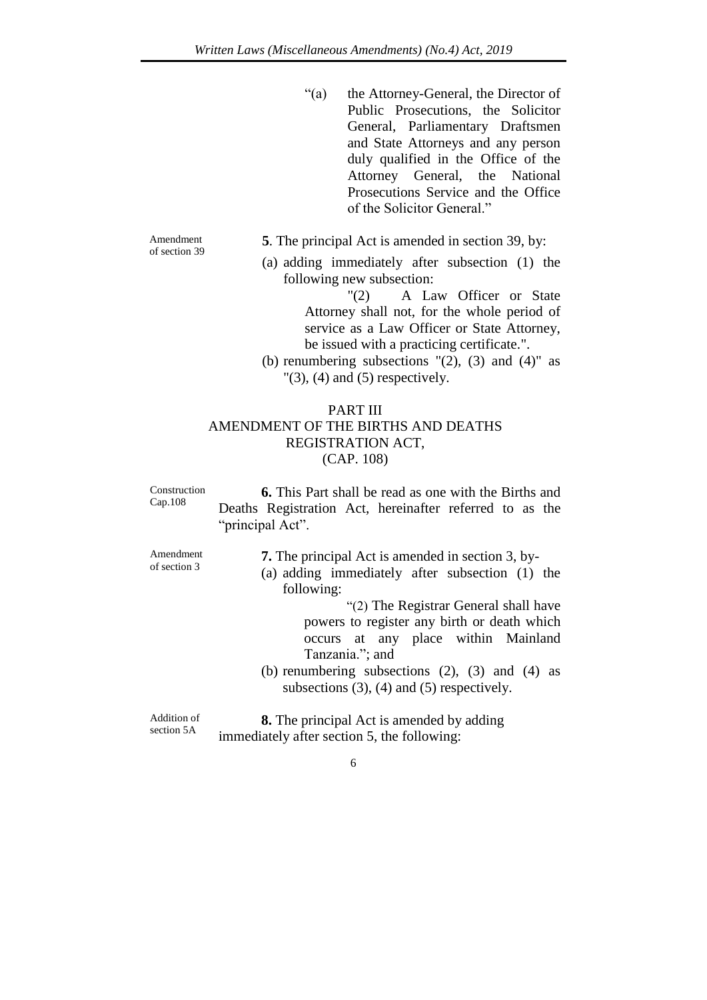"(a) the Attorney-General, the Director of Public Prosecutions, the Solicitor General, Parliamentary Draftsmen and State Attorneys and any person duly qualified in the Office of the Attorney General, the National Prosecutions Service and the Office of the Solicitor General."

**5**. The principal Act is amended in section 39, by:

(a) adding immediately after subsection (1) the following new subsection:

> "(2) A Law Officer or State Attorney shall not, for the whole period of service as a Law Officer or State Attorney, be issued with a practicing certificate.".

(b) renumbering subsections  $(2)$ ,  $(3)$  and  $(4)$ " as  $''(3)$ , (4) and (5) respectively.

## PART III AMENDMENT OF THE BIRTHS AND DEATHS REGISTRATION ACT, (CAP. 108)

Construction Cap.108

**6.** This Part shall be read as one with the Births and Deaths Registration Act, hereinafter referred to as the "principal Act".

Amendment of section 3

**7.** The principal Act is amended in section 3, by- (a) adding immediately after subsection (1) the

following:

"(2) The Registrar General shall have powers to register any birth or death which occurs at any place within Mainland Tanzania."; and

(b) renumbering subsections  $(2)$ ,  $(3)$  and  $(4)$  as subsections (3), (4) and (5) respectively.

Addition of section 5A **8.** The principal Act is amended by adding immediately after section 5, the following:

6

Amendment of section 39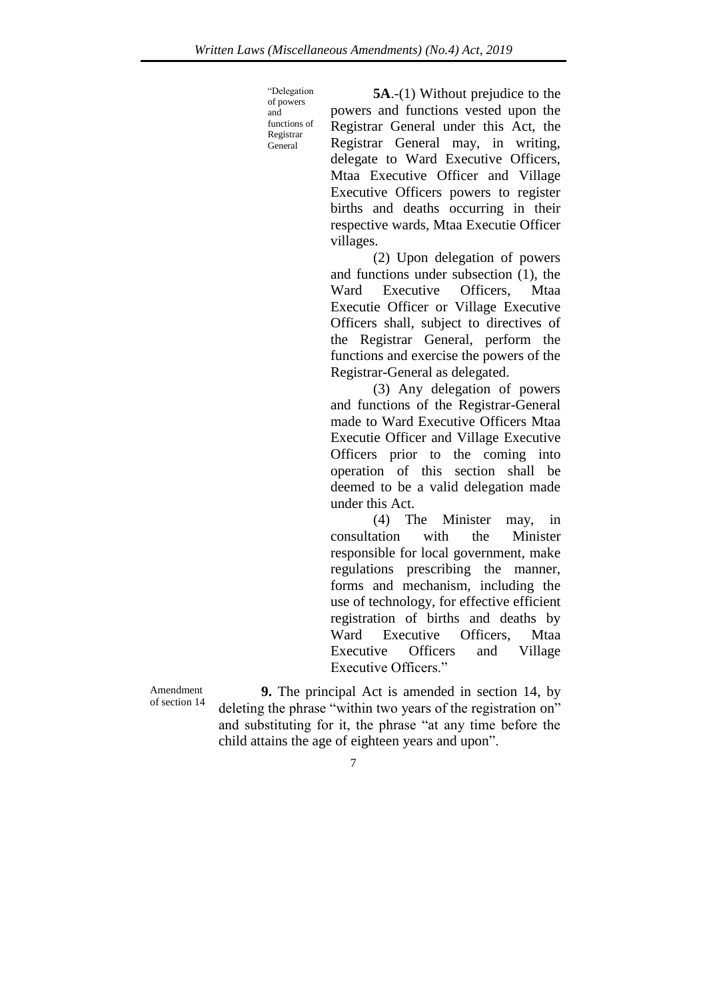"Delegation of powers and functions of Registrar General

**5A**.-(1) Without prejudice to the powers and functions vested upon the Registrar General under this Act, the Registrar General may, in writing, delegate to Ward Executive Officers, Mtaa Executive Officer and Village Executive Officers powers to register births and deaths occurring in their respective wards, Mtaa Executie Officer villages.

(2) Upon delegation of powers and functions under subsection (1), the Ward Executive Officers, Mtaa Executie Officer or Village Executive Officers shall, subject to directives of the Registrar General, perform the functions and exercise the powers of the Registrar-General as delegated.

(3) Any delegation of powers and functions of the Registrar-General made to Ward Executive Officers Mtaa Executie Officer and Village Executive Officers prior to the coming into operation of this section shall be deemed to be a valid delegation made under this Act.

(4) The Minister may, in consultation with the Minister responsible for local government, make regulations prescribing the manner, forms and mechanism, including the use of technology, for effective efficient registration of births and deaths by Ward Executive Officers, Mtaa Executive Officers and Village Executive Officers."

Amendment of section 14

**9.** The principal Act is amended in section 14, by deleting the phrase "within two years of the registration on" and substituting for it, the phrase "at any time before the child attains the age of eighteen years and upon".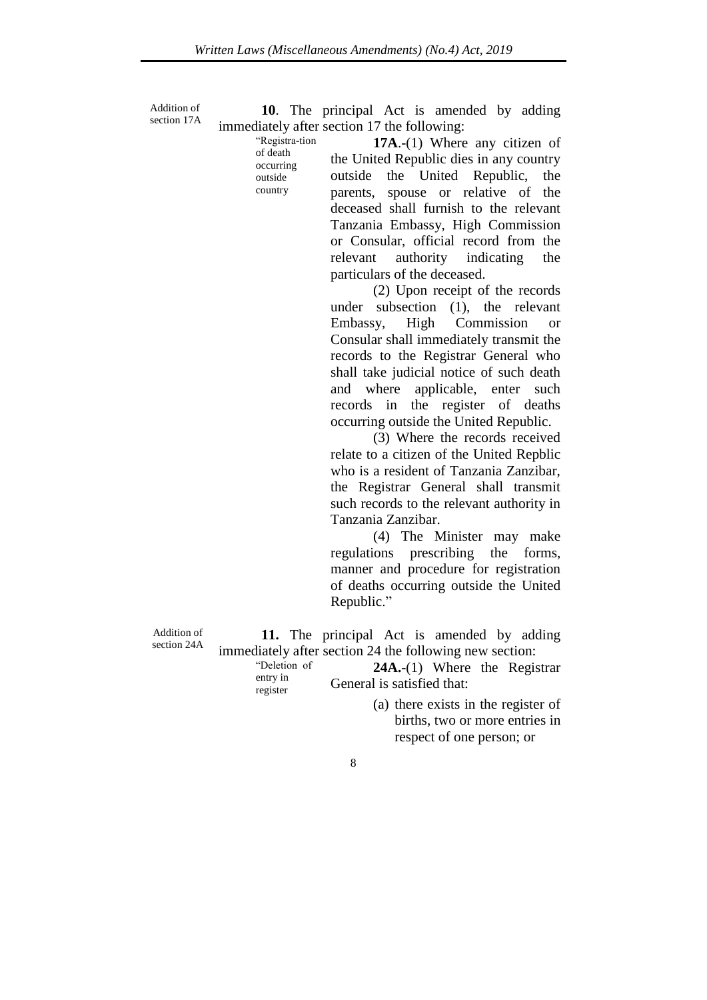Addition of section 17A

**10**. The principal Act is amended by adding immediately after section 17 the following:

"Registra-tion of death occurring outside country

**17A**.-(1) Where any citizen of the United Republic dies in any country outside the United Republic, the parents, spouse or relative of the deceased shall furnish to the relevant Tanzania Embassy, High Commission or Consular, official record from the relevant authority indicating the particulars of the deceased.

(2) Upon receipt of the records under subsection (1), the relevant Embassy, High Commission or Consular shall immediately transmit the records to the Registrar General who shall take judicial notice of such death and where applicable, enter such records in the register of deaths occurring outside the United Republic.

(3) Where the records received relate to a citizen of the United Repblic who is a resident of Tanzania Zanzibar, the Registrar General shall transmit such records to the relevant authority in Tanzania Zanzibar.

(4) The Minister may make regulations prescribing the forms, manner and procedure for registration of deaths occurring outside the United Republic."

Addition of section 24A

**11.** The principal Act is amended by adding immediately after section 24 the following new section:

"Deletion of entry in register

- **24A.**-(1) Where the Registrar General is satisfied that: (a) there exists in the register of
	- births, two or more entries in respect of one person; or
	- 8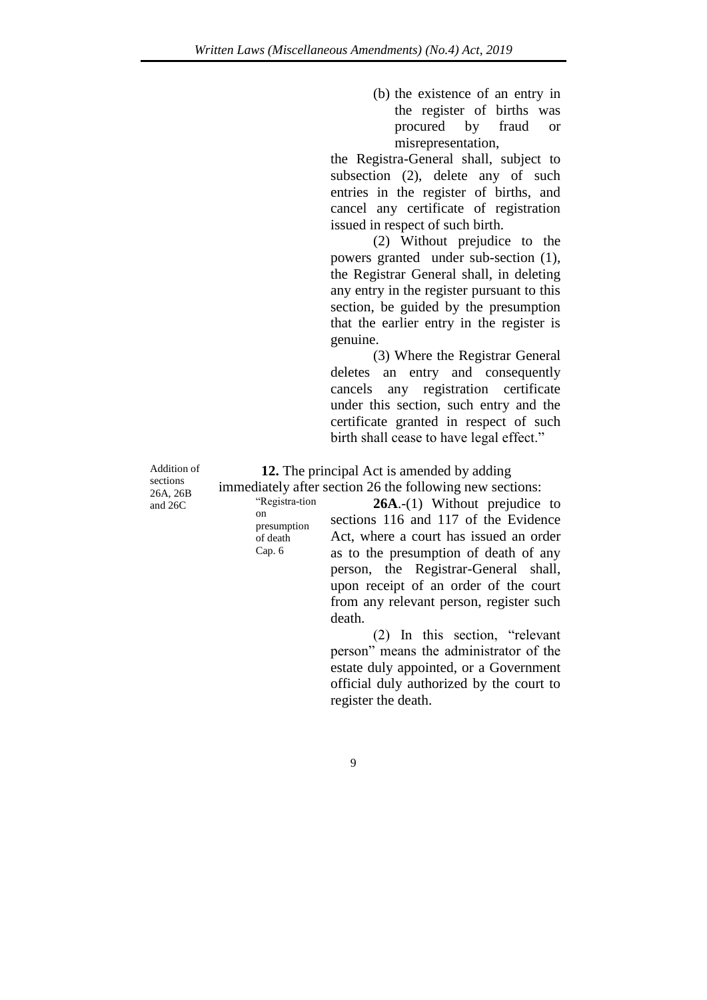(b) the existence of an entry in the register of births was procured by fraud or misrepresentation,

the Registra-General shall, subject to subsection (2), delete any of such entries in the register of births, and cancel any certificate of registration issued in respect of such birth.

(2) Without prejudice to the powers granted under sub-section (1), the Registrar General shall, in deleting any entry in the register pursuant to this section, be guided by the presumption that the earlier entry in the register is genuine.

(3) Where the Registrar General deletes an entry and consequently cancels any registration certificate under this section, such entry and the certificate granted in respect of such birth shall cease to have legal effect."

Addition of sections 26A, 26B and 26C

**12.** The principal Act is amended by adding

immediately after section 26 the following new sections:

"Registra-tion on presumption of death Cap. 6

**26A**.-(1) Without prejudice to sections 116 and 117 of the Evidence Act, where a court has issued an order as to the presumption of death of any person, the Registrar-General shall, upon receipt of an order of the court from any relevant person, register such death.

(2) In this section, "relevant person" means the administrator of the estate duly appointed, or a Government official duly authorized by the court to register the death.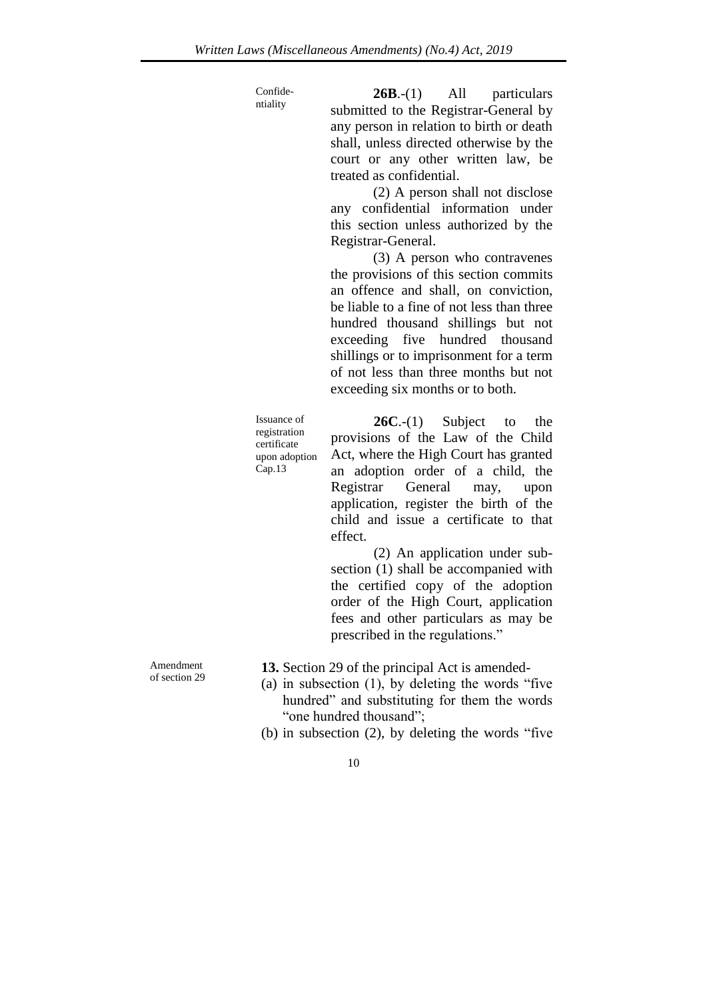Confidentiality

26B<sup>.-(1)</sup> All particulars submitted to the Registrar-General by any person in relation to birth or death shall, unless directed otherwise by the court or any other written law, be treated as confidential.

(2) A person shall not disclose any confidential information under this section unless authorized by the Registrar-General.

(3) A person who contravenes the provisions of this section commits an offence and shall, on conviction, be liable to a fine of not less than three hundred thousand shillings but not exceeding five hundred thousand shillings or to imprisonment for a term of not less than three months but not exceeding six months or to both.

Issuance of registration certificate upon adoption Cap.13

**26C**.-(1) Subject to the provisions of the Law of the Child Act, where the High Court has granted an adoption order of a child, the Registrar General may, upon application, register the birth of the child and issue a certificate to that effect.

(2) An application under subsection (1) shall be accompanied with the certified copy of the adoption order of the High Court, application fees and other particulars as may be prescribed in the regulations."

Amendment of section 29 **13.** Section 29 of the principal Act is amended-

- (a) in subsection (1), by deleting the words "five hundred" and substituting for them the words "one hundred thousand";
- (b) in subsection (2), by deleting the words "five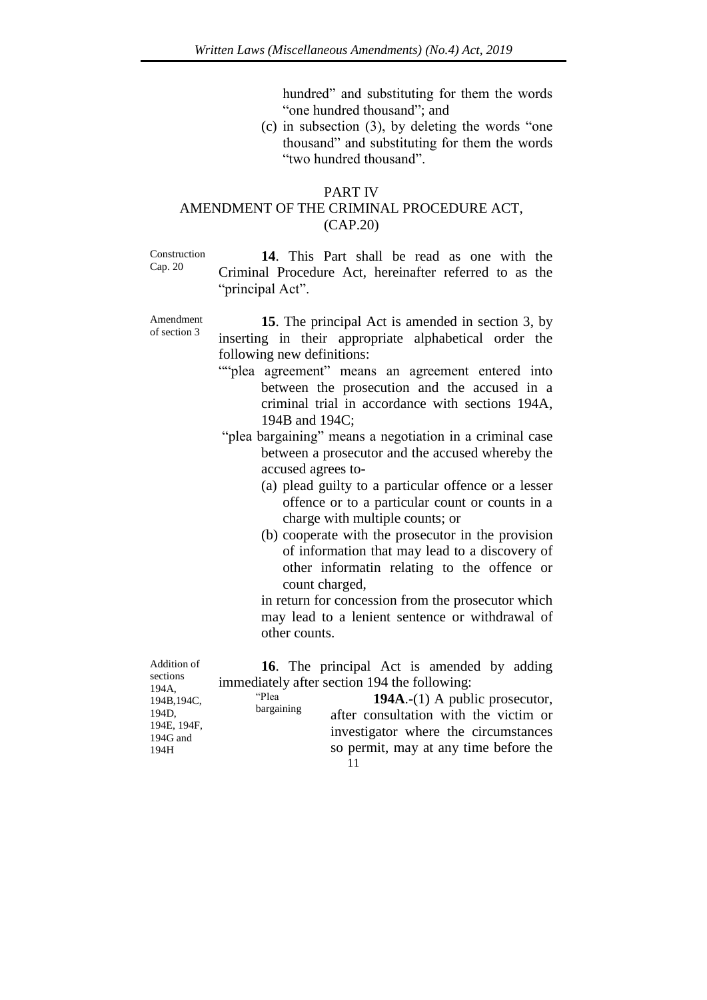hundred" and substituting for them the words "one hundred thousand"; and

(c) in subsection (3), by deleting the words "one thousand" and substituting for them the words "two hundred thousand".

## PART IV AMENDMENT OF THE CRIMINAL PROCEDURE ACT, (CAP.20)

Construction Cap. 20

**14**. This Part shall be read as one with the Criminal Procedure Act, hereinafter referred to as the "principal Act".

Amendment of section 3

Addition of sections

**15**. The principal Act is amended in section 3, by inserting in their appropriate alphabetical order the following new definitions:

- ""plea agreement" means an agreement entered into between the prosecution and the accused in a criminal trial in accordance with sections 194A, 194B and 194C;
- "plea bargaining" means a negotiation in a criminal case between a prosecutor and the accused whereby the accused agrees to-
	- (a) plead guilty to a particular offence or a lesser offence or to a particular count or counts in a charge with multiple counts; or
	- (b) cooperate with the prosecutor in the provision of information that may lead to a discovery of other informatin relating to the offence or count charged,

in return for concession from the prosecutor which may lead to a lenient sentence or withdrawal of other counts.

**16**. The principal Act is amended by adding immediately after section 194 the following:

| $\mu$ and $\mu$ and $\mu$ and $\mu$ and $\mu$ and $\mu$ and $\mu$<br>194A. $-(1)$ A public prosecutor,<br>after consultation with the victim or<br>investigator where the circumstances<br>so permit, may at any time before the |
|----------------------------------------------------------------------------------------------------------------------------------------------------------------------------------------------------------------------------------|
|                                                                                                                                                                                                                                  |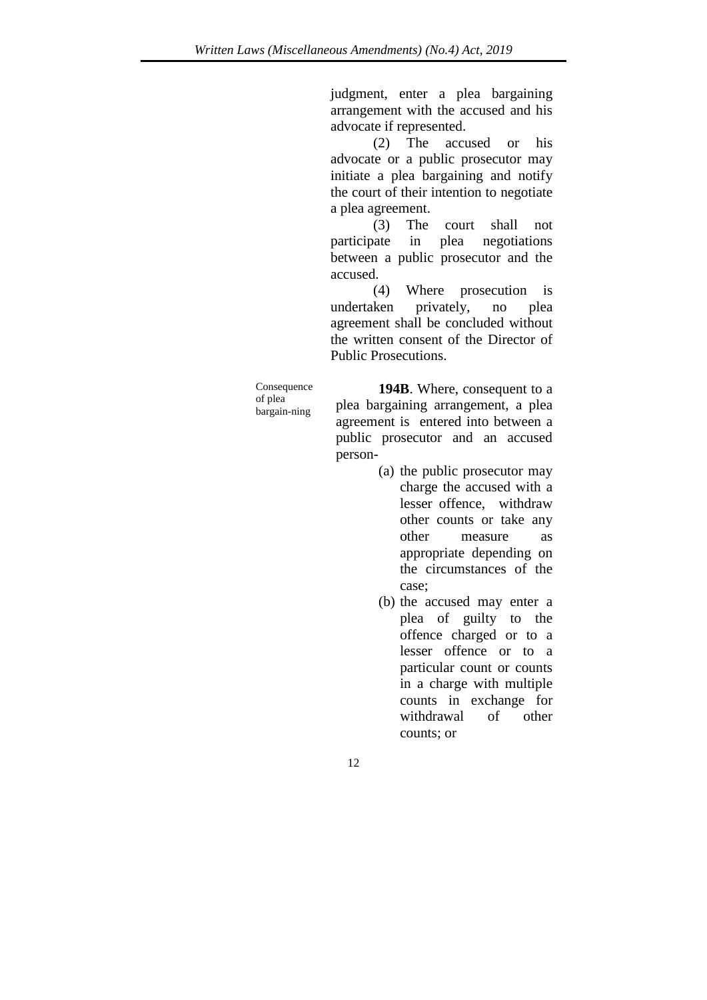judgment, enter a plea bargaining arrangement with the accused and his advocate if represented.

(2) The accused or his advocate or a public prosecutor may initiate a plea bargaining and notify the court of their intention to negotiate a plea agreement.

(3) The court shall not participate in plea negotiations between a public prosecutor and the accused.

(4) Where prosecution is undertaken privately, no plea agreement shall be concluded without the written consent of the Director of Public Prosecutions.

Consequence of plea bargain-ning

**194B**. Where, consequent to a plea bargaining arrangement, a plea agreement is entered into between a public prosecutor and an accused person-

- (a) the public prosecutor may charge the accused with a lesser offence, withdraw other counts or take any other measure as appropriate depending on the circumstances of the case;
- (b) the accused may enter a plea of guilty to the offence charged or to a lesser offence or to a particular count or counts in a charge with multiple counts in exchange for withdrawal of other counts; or
- 12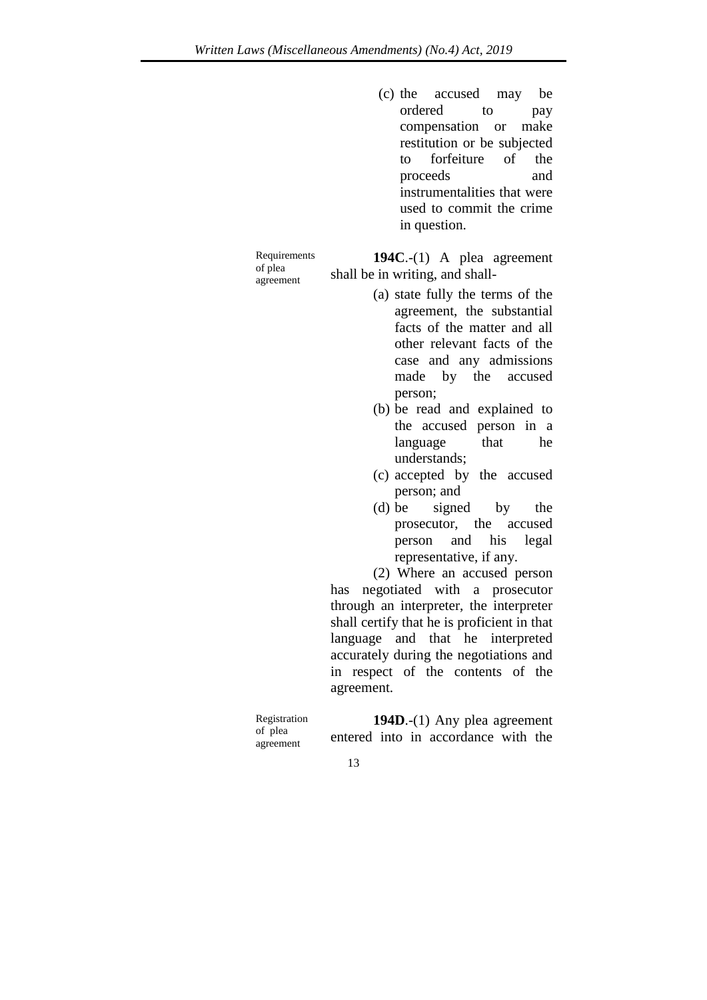(c) the accused may be ordered to pay compensation or make restitution or be subjected to forfeiture of the proceeds and instrumentalities that were used to commit the crime in question.

Requirements of plea agreement

**194C**.-(1) A plea agreement shall be in writing, and shall-

- (a) state fully the terms of the agreement, the substantial facts of the matter and all other relevant facts of the case and any admissions made by the accused person;
- (b) be read and explained to the accused person in a language that he understands;
- (c) accepted by the accused person; and
- (d) be signed by the prosecutor, the accused person and his legal representative, if any.

(2) Where an accused person has negotiated with a prosecutor through an interpreter, the interpreter shall certify that he is proficient in that language and that he interpreted accurately during the negotiations and in respect of the contents of the agreement.

Registration of plea agreement

**194D**.-(1) Any plea agreement entered into in accordance with the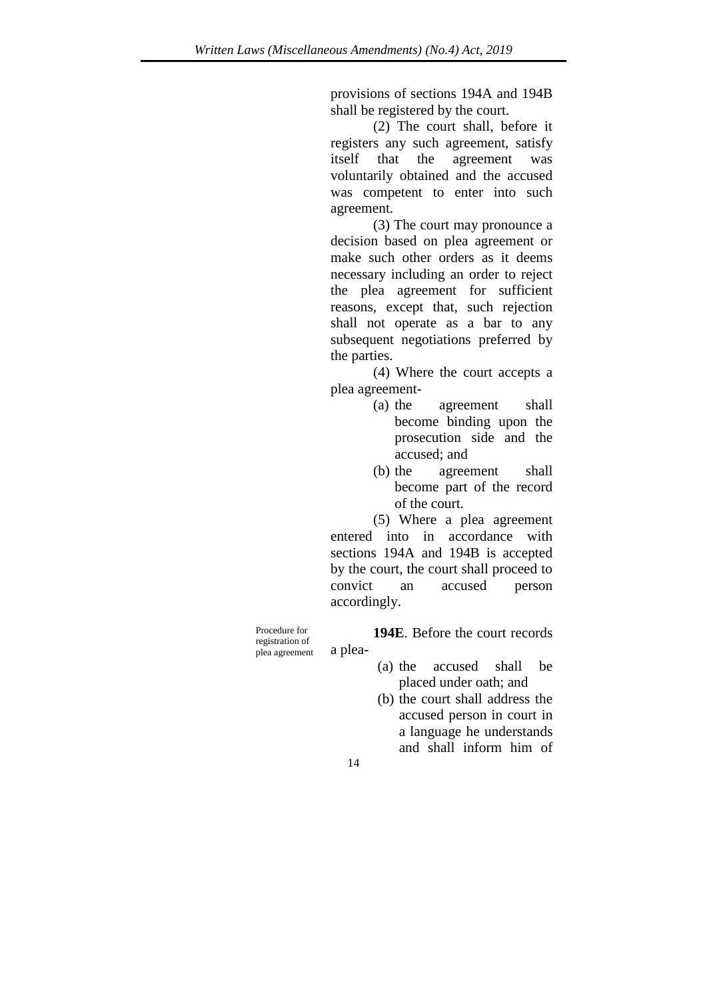provisions of sections 194A and 194B shall be registered by the court.

(2) The court shall, before it registers any such agreement, satisfy itself that the agreement was voluntarily obtained and the accused was competent to enter into such agreement.

(3) The court may pronounce a decision based on plea agreement or make such other orders as it deems necessary including an order to reject the plea agreement for sufficient reasons, except that, such rejection shall not operate as a bar to any subsequent negotiations preferred by the parties.

(4) Where the court accepts a plea agreement-

- (a) the agreement shall become binding upon the prosecution side and the accused; and
- (b) the agreement shall become part of the record of the court.

(5) Where a plea agreement entered into in accordance with sections 194A and 194B is accepted by the court, the court shall proceed to convict an accused person accordingly.

Procedure for registration of plea agreement

**194E**. Before the court records a plea-

- (a) the accused shall be placed under oath; and
- (b) the court shall address the accused person in court in a language he understands and shall inform him of
- 14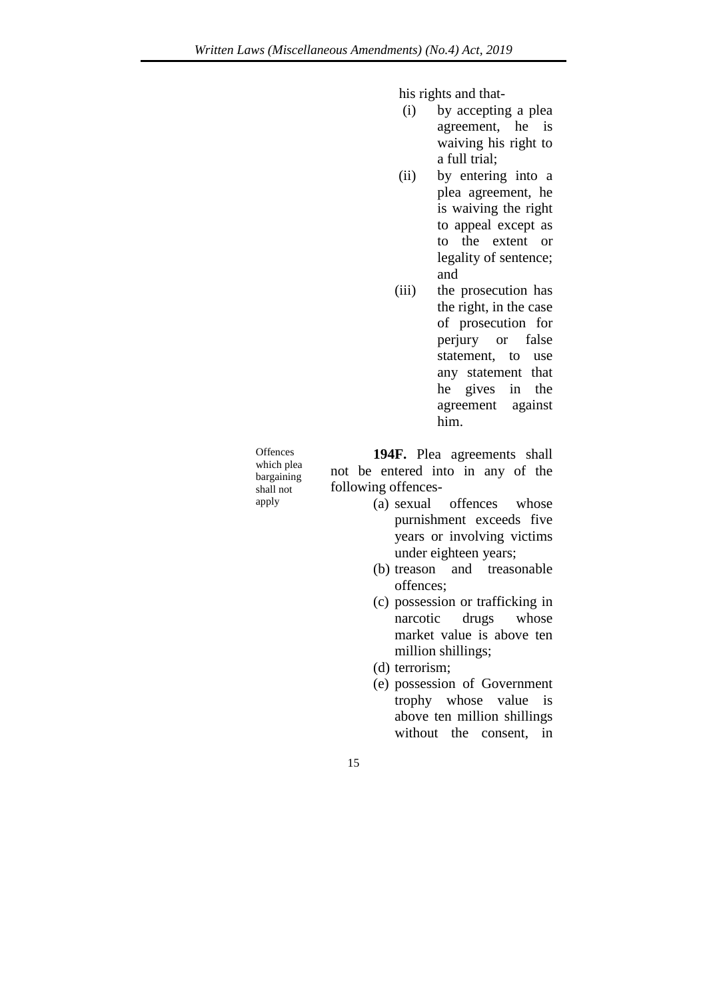his rights and that-

- (i) by accepting a plea agreement, he is waiving his right to a full trial;
- (ii) by entering into a plea agreement, he is waiving the right to appeal except as to the extent or legality of sentence; and
- (iii) the prosecution has the right, in the case of prosecution for perjury or false statement, to use any statement that he gives in the agreement against him.

**Offences** which plea bargaining shall not apply

**194F.** Plea agreements shall not be entered into in any of the following offences-

- (a) sexual offences whose purnishment exceeds five years or involving victims under eighteen years;
- (b) treason and treasonable offences;
- (c) possession or trafficking in narcotic drugs whose market value is above ten million shillings;

(d) terrorism;

- (e) possession of Government trophy whose value is above ten million shillings without the consent, in
- 15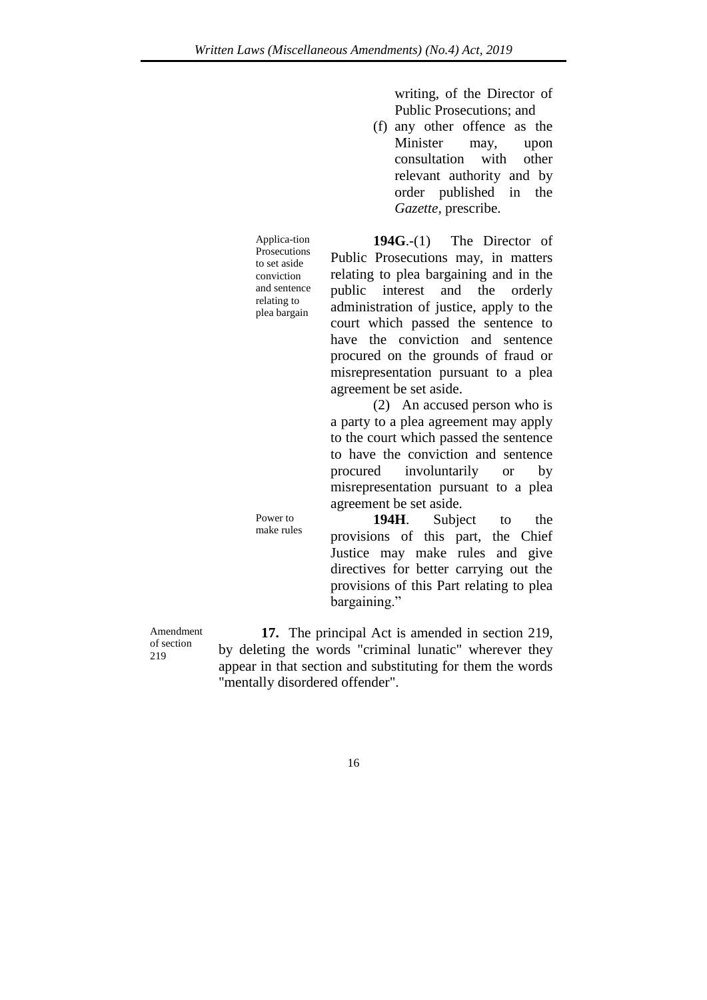Applica-tion Prosecutions to set aside conviction and sentence relating to plea bargain

Power to make rules writing, of the Director of Public Prosecutions; and

(f) any other offence as the Minister may, upon consultation with other relevant authority and by order published in the *Gazette,* prescribe.

**194G**.-(1) The Director of Public Prosecutions may, in matters relating to plea bargaining and in the public interest and the orderly administration of justice, apply to the court which passed the sentence to have the conviction and sentence procured on the grounds of fraud or misrepresentation pursuant to a plea agreement be set aside.

(2) An accused person who is a party to a plea agreement may apply to the court which passed the sentence to have the conviction and sentence procured involuntarily or by misrepresentation pursuant to a plea agreement be set aside.

**194H**. Subject to the provisions of this part, the Chief Justice may make rules and give directives for better carrying out the provisions of this Part relating to plea bargaining."

**17.** The principal Act is amended in section 219, by deleting the words "criminal lunatic" wherever they appear in that section and substituting for them the words "mentally disordered offender".

Amendment of section 219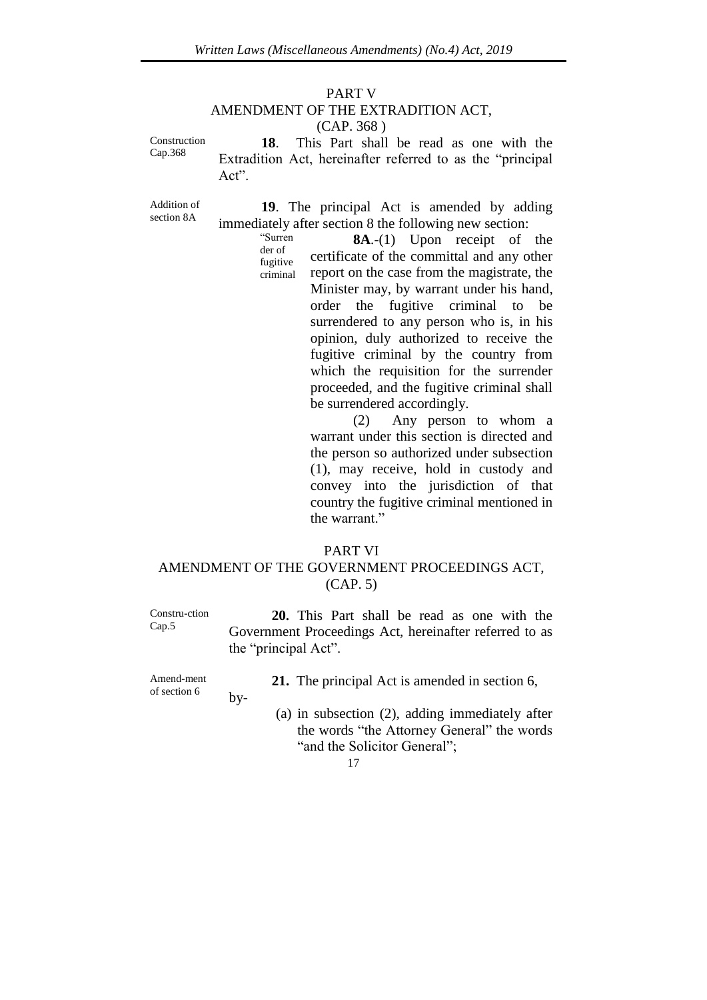#### PART V AMENDMENT OF THE EXTRADITION ACT, (CAP. 368 )

Construction Cap.368

**18**. This Part shall be read as one with the Extradition Act, hereinafter referred to as the "principal Act".

Addition of section 8A

**19**. The principal Act is amended by adding immediately after section 8 the following new section:

> "Surren der of fugitive criminal **8A**.-(1) Upon receipt of the certificate of the committal and any other report on the case from the magistrate, the Minister may, by warrant under his hand, order the fugitive criminal to be surrendered to any person who is, in his opinion, duly authorized to receive the fugitive criminal by the country from which the requisition for the surrender proceeded, and the fugitive criminal shall be surrendered accordingly.

> > (2) Any person to whom a warrant under this section is directed and the person so authorized under subsection (1), may receive, hold in custody and convey into the jurisdiction of that country the fugitive criminal mentioned in the warrant."

PART VI

## AMENDMENT OF THE GOVERNMENT PROCEEDINGS ACT, (CAP. 5)

Constru-ction Cap.5 **20.** This Part shall be read as one with the Government Proceedings Act, hereinafter referred to as the "principal Act".

Amend-ment of section 6

**21.** The principal Act is amended in section 6,

by-

(a) in subsection (2), adding immediately after the words "the Attorney General" the words "and the Solicitor General";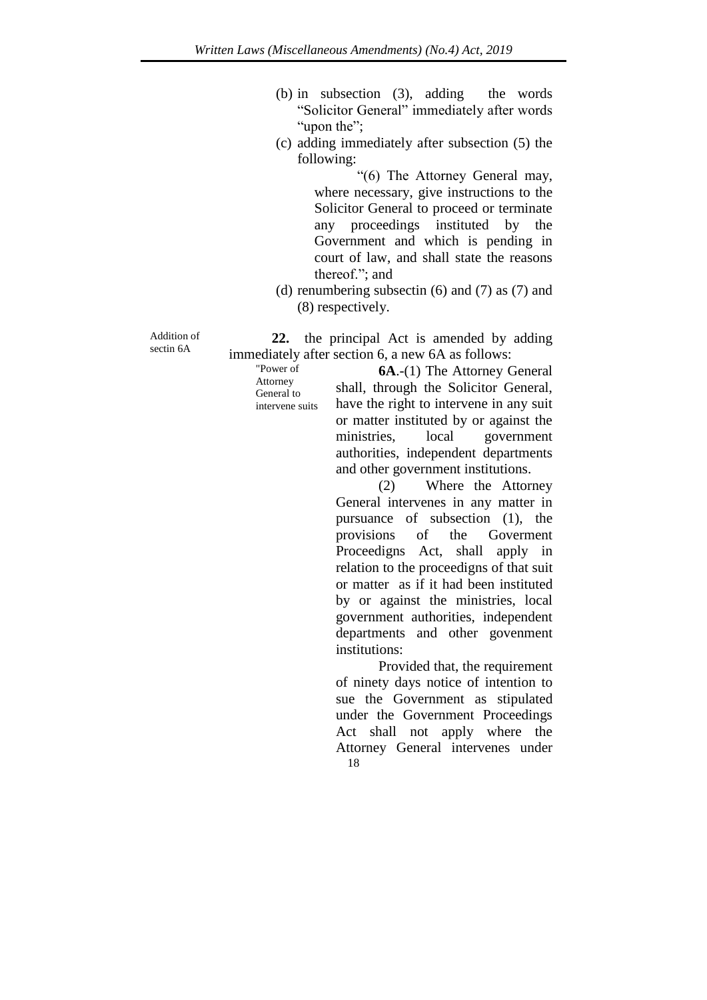- (b) in subsection (3), adding the words "Solicitor General" immediately after words "upon the":
- (c) adding immediately after subsection (5) the following:

"(6) The Attorney General may, where necessary, give instructions to the Solicitor General to proceed or terminate any proceedings instituted by the Government and which is pending in court of law, and shall state the reasons thereof."; and

(d) renumbering subsectin (6) and (7) as (7) and (8) respectively.

Addition of sectin 6A

**22.** the principal Act is amended by adding immediately after section 6, a new 6A as follows:

"Power of Attorney General to intervene suits

**6A**.-(1) The Attorney General shall, through the Solicitor General, have the right to intervene in any suit or matter instituted by or against the ministries, local government authorities, independent departments and other government institutions.

(2) Where the Attorney General intervenes in any matter in pursuance of subsection (1), the provisions of the Goverment Proceedigns Act, shall apply in relation to the proceedigns of that suit or matter as if it had been instituted by or against the ministries, local government authorities, independent departments and other govenment institutions:

18 Provided that, the requirement of ninety days notice of intention to sue the Government as stipulated under the Government Proceedings Act shall not apply where the Attorney General intervenes under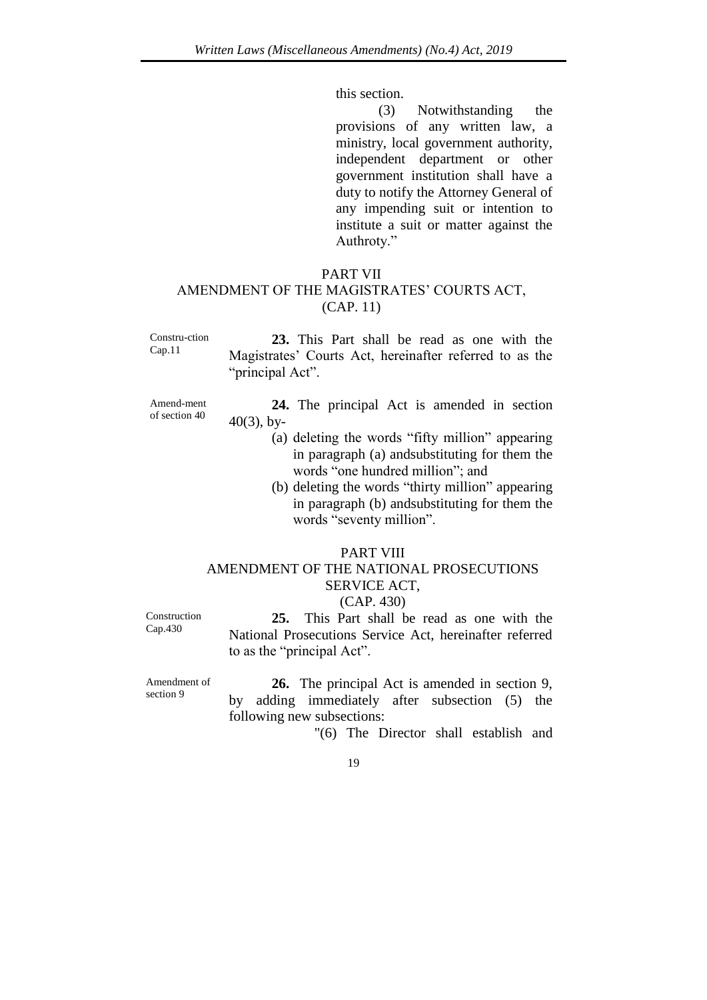this section.

(3) Notwithstanding the provisions of any written law, a ministry, local government authority, independent department or other government institution shall have a duty to notify the Attorney General of any impending suit or intention to institute a suit or matter against the Authroty."

#### PART VII

### AMENDMENT OF THE MAGISTRATES' COURTS ACT, (CAP. 11)

Constru-ction Cap.11

**23.** This Part shall be read as one with the Magistrates' Courts Act, hereinafter referred to as the "principal Act".

Amend-ment of section 40

- **24.** The principal Act is amended in section 40(3), by-
	- (a) deleting the words "fifty million" appearing in paragraph (a) andsubstituting for them the words "one hundred million"; and
	- (b) deleting the words "thirty million" appearing in paragraph (b) andsubstituting for them the words "seventy million".

#### PART VIII

# AMENDMENT OF THE NATIONAL PROSECUTIONS SERVICE ACT,

## (CAP. 430)

Construction Cap.430

**25.** This Part shall be read as one with the National Prosecutions Service Act, hereinafter referred to as the "principal Act".

Amendment of section 9

**26.** The principal Act is amended in section 9, by adding immediately after subsection (5) the following new subsections:

"(6) The Director shall establish and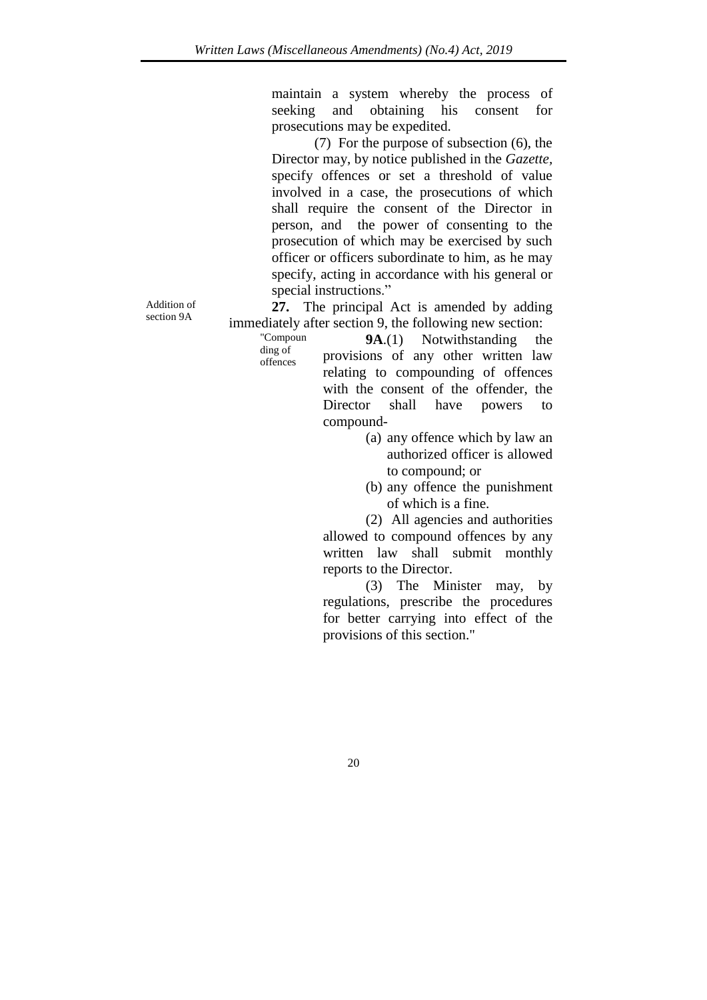maintain a system whereby the process of seeking and obtaining his consent for prosecutions may be expedited.

(7) For the purpose of subsection (6), the Director may, by notice published in the *Gazette,* specify offences or set a threshold of value involved in a case, the prosecutions of which shall require the consent of the Director in person, and the power of consenting to the prosecution of which may be exercised by such officer or officers subordinate to him, as he may specify, acting in accordance with his general or special instructions."

**27.** The principal Act is amended by adding immediately after section 9, the following new section:

"Compoun offences **9A**.(1) Notwithstanding the provisions of any other written law relating to compounding of offences with the consent of the offender, the Director shall have powers to compound-

- (a) any offence which by law an authorized officer is allowed to compound; or
- (b) any offence the punishment of which is a fine.

(2) All agencies and authorities allowed to compound offences by any written law shall submit monthly reports to the Director.

(3) The Minister may, by regulations, prescribe the procedures for better carrying into effect of the provisions of this section."

Addition of section 9A

ding of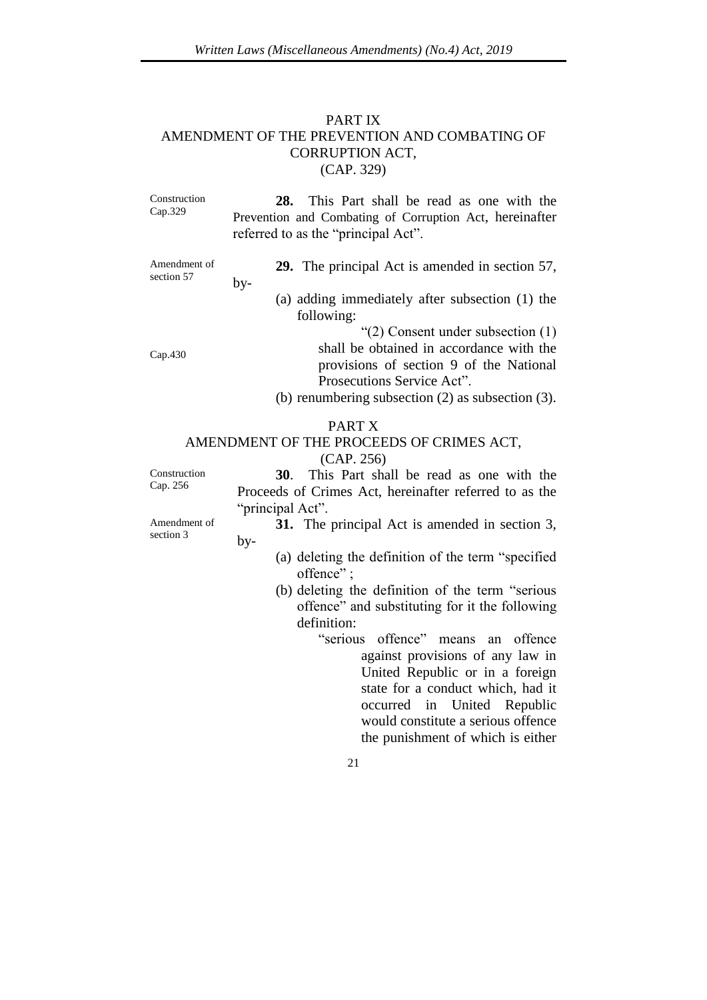### PART IX AMENDMENT OF THE PREVENTION AND COMBATING OF CORRUPTION ACT, (CAP. 329)

Construction Cap.329 **28.** This Part shall be read as one with the Prevention and Combating of Corruption Act, hereinafter referred to as the "principal Act". Amendment of section 57 **29.** The principal Act is amended in section 57, by- (a) adding immediately after subsection (1) the

following:

Cap.430

"(2) Consent under subsection (1) shall be obtained in accordance with the provisions of section 9 of the National Prosecutions Service Act".

(b) renumbering subsection (2) as subsection (3).

#### PART X

## AMENDMENT OF THE PROCEEDS OF CRIMES ACT,

(CAP. 256)

Construction Cap. 256

**30**. This Part shall be read as one with the Proceeds of Crimes Act, hereinafter referred to as the "principal Act".

Amendment of section 3

**31.** The principal Act is amended in section 3, by-

- (a) deleting the definition of the term "specified offence" ;
- (b) deleting the definition of the term "serious offence" and substituting for it the following definition:
	- "serious offence" means an offence against provisions of any law in United Republic or in a foreign state for a conduct which, had it occurred in United Republic would constitute a serious offence the punishment of which is either
		- 21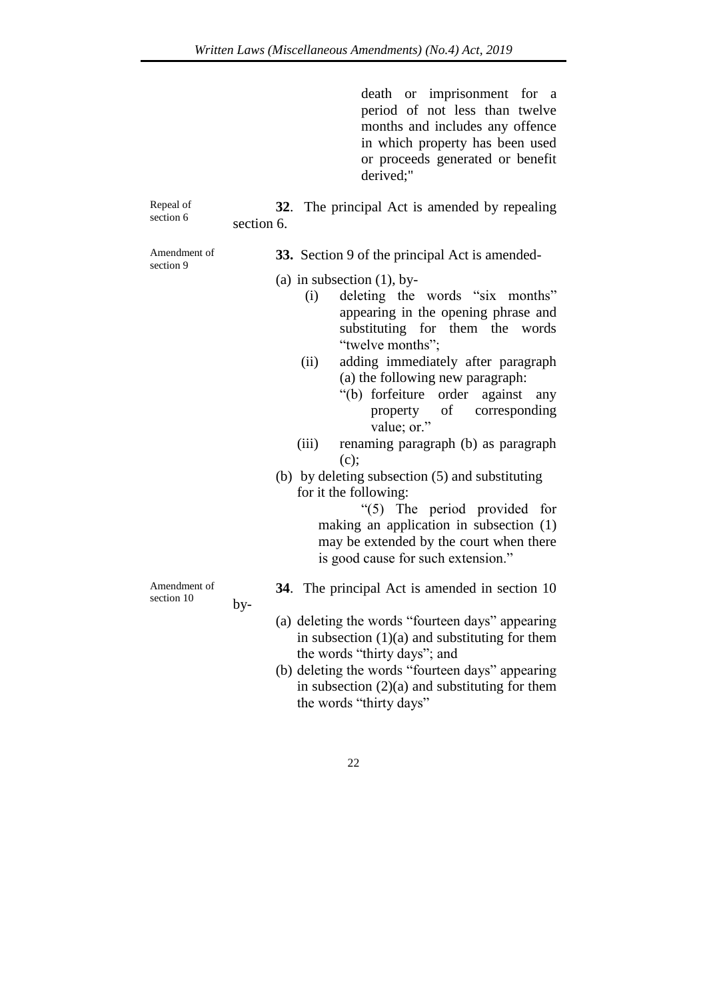death or imprisonment for a period of not less than twelve months and includes any offence in which property has been used or proceeds generated or benefit derived;" **32**. The principal Act is amended by repealing

section 6

section 6.

Repeal of

Amendment of section 9

**33.** Section 9 of the principal Act is amended-

(a) in subsection  $(1)$ , by-

- (i) deleting the words "six months" appearing in the opening phrase and substituting for them the words "twelve months";
- (ii) adding immediately after paragraph (a) the following new paragraph:
	- "(b) forfeiture order against any property of corresponding value; or."
- (iii) renaming paragraph (b) as paragraph (c);
- (b) by deleting subsection (5) and substituting for it the following:

"(5) The period provided for making an application in subsection (1) may be extended by the court when there is good cause for such extension."

Amendment of section 10 by-

- **34**. The principal Act is amended in section 10
- (a) deleting the words "fourteen days" appearing in subsection  $(1)(a)$  and substituting for them the words "thirty days"; and
- (b) deleting the words "fourteen days" appearing in subsection  $(2)(a)$  and substituting for them the words "thirty days"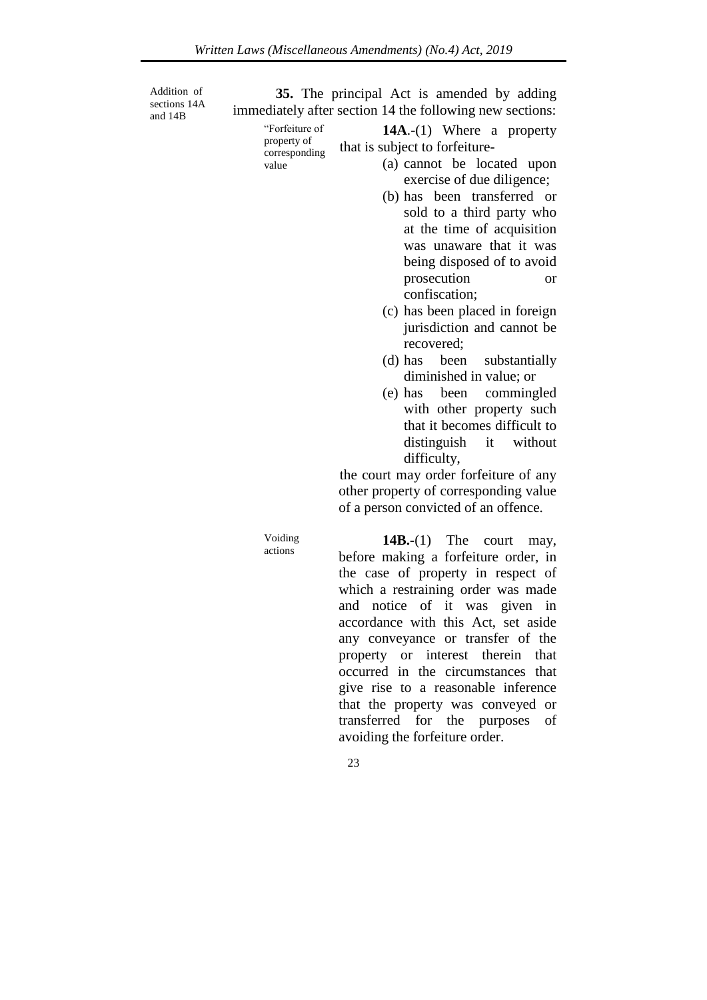Addition of sections 14A and 14B

**35.** The principal Act is amended by adding immediately after section 14 the following new sections:

"Forfeiture of property of corresponding value

**14A**.-(1) Where a property that is subject to forfeiture-

- (a) cannot be located upon exercise of due diligence;
- (b) has been transferred or sold to a third party who at the time of acquisition was unaware that it was being disposed of to avoid prosecution or confiscation;
- (c) has been placed in foreign jurisdiction and cannot be recovered;
- (d) has been substantially diminished in value; or
- (e) has been commingled with other property such that it becomes difficult to distinguish it without difficulty,

the court may order forfeiture of any other property of corresponding value of a person convicted of an offence.

Voiding actions

**14B.-**(1) The court may, before making a forfeiture order, in the case of property in respect of which a restraining order was made and notice of it was given in accordance with this Act, set aside any conveyance or transfer of the property or interest therein that occurred in the circumstances that give rise to a reasonable inference that the property was conveyed or transferred for the purposes of avoiding the forfeiture order.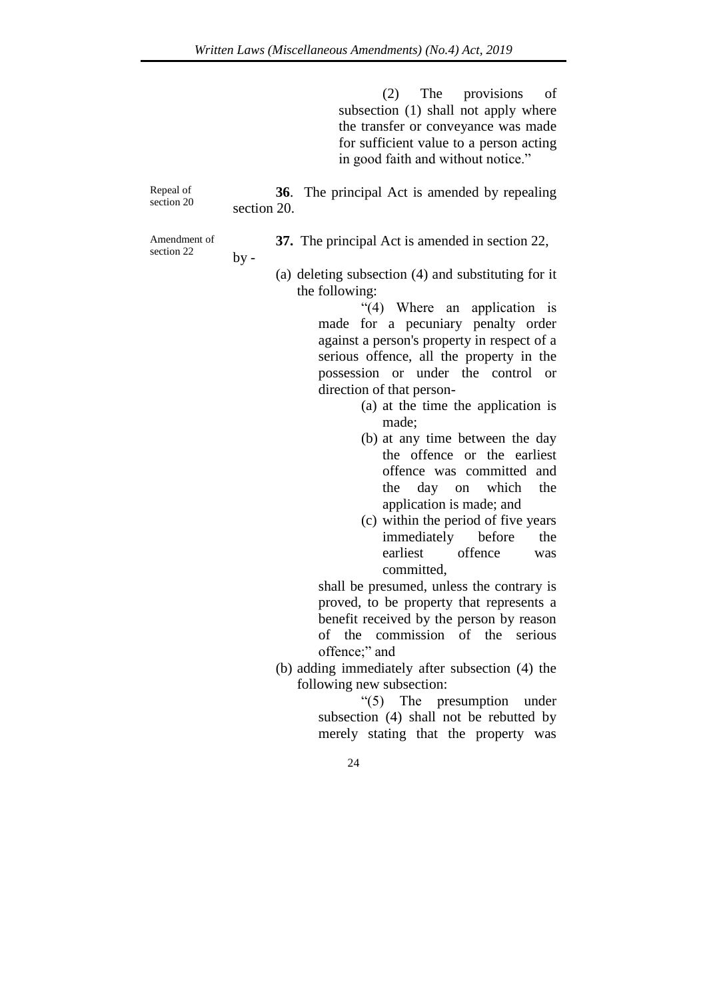(2) The provisions of subsection (1) shall not apply where the transfer or conveyance was made for sufficient value to a person acting in good faith and without notice."

Repeal of section 20

**36**. The principal Act is amended by repealing section 20.

Amendment of section 22

**37.** The principal Act is amended in section 22,

 $by -$ 

(a) deleting subsection (4) and substituting for it the following:

> "(4) Where an application is made for a pecuniary penalty order against a person's property in respect of a serious offence, all the property in the possession or under the control or direction of that person-

- (a) at the time the application is made;
- (b) at any time between the day the offence or the earliest offence was committed and the day on which the application is made; and
- (c) within the period of five years immediately before the earliest offence was committed,

shall be presumed, unless the contrary is proved, to be property that represents a benefit received by the person by reason of the commission of the serious offence;" and

(b) adding immediately after subsection (4) the following new subsection:

> "(5) The presumption under subsection (4) shall not be rebutted by merely stating that the property was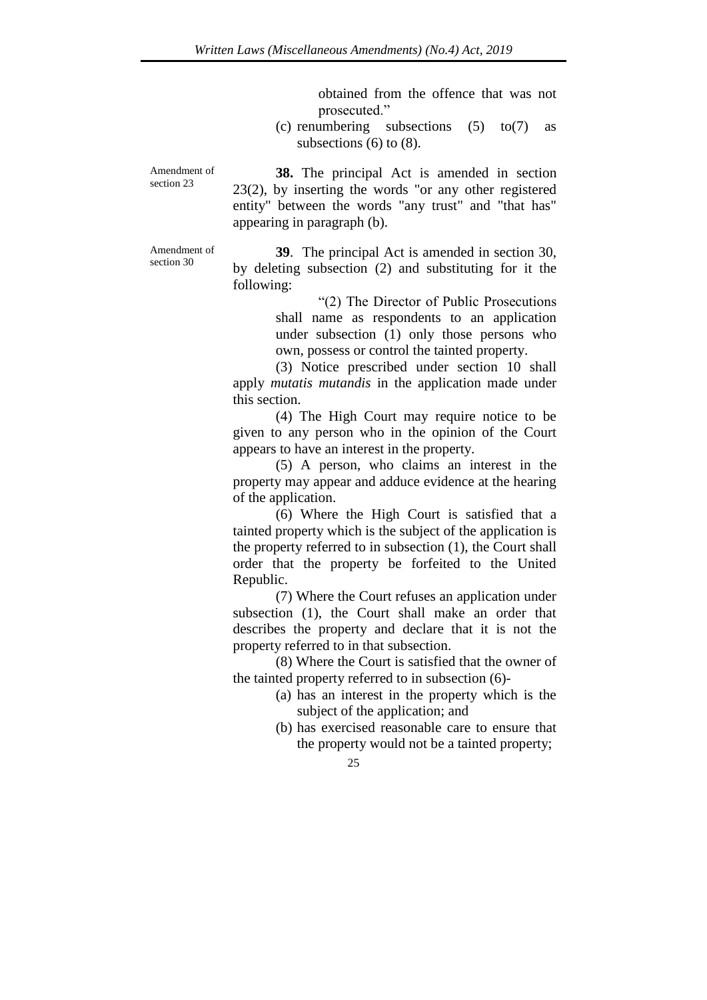obtained from the offence that was not prosecuted."

(c) renumbering subsections (5) to(7) as subsections (6) to (8).

Amendment of section 23 **38.** The principal Act is amended in section 23(2), by inserting the words "or any other registered entity" between the words "any trust" and "that has" appearing in paragraph (b).

Amendment of section 30

**39**. The principal Act is amended in section 30, by deleting subsection (2) and substituting for it the following:

> "(2) The Director of Public Prosecutions shall name as respondents to an application under subsection (1) only those persons who own, possess or control the tainted property.

(3) Notice prescribed under section 10 shall apply *mutatis mutandis* in the application made under this section.

(4) The High Court may require notice to be given to any person who in the opinion of the Court appears to have an interest in the property.

(5) A person, who claims an interest in the property may appear and adduce evidence at the hearing of the application.

(6) Where the High Court is satisfied that a tainted property which is the subject of the application is the property referred to in subsection (1), the Court shall order that the property be forfeited to the United Republic.

(7) Where the Court refuses an application under subsection (1), the Court shall make an order that describes the property and declare that it is not the property referred to in that subsection.

(8) Where the Court is satisfied that the owner of the tainted property referred to in subsection (6)-

- (a) has an interest in the property which is the subject of the application; and
- (b) has exercised reasonable care to ensure that the property would not be a tainted property;
	- 25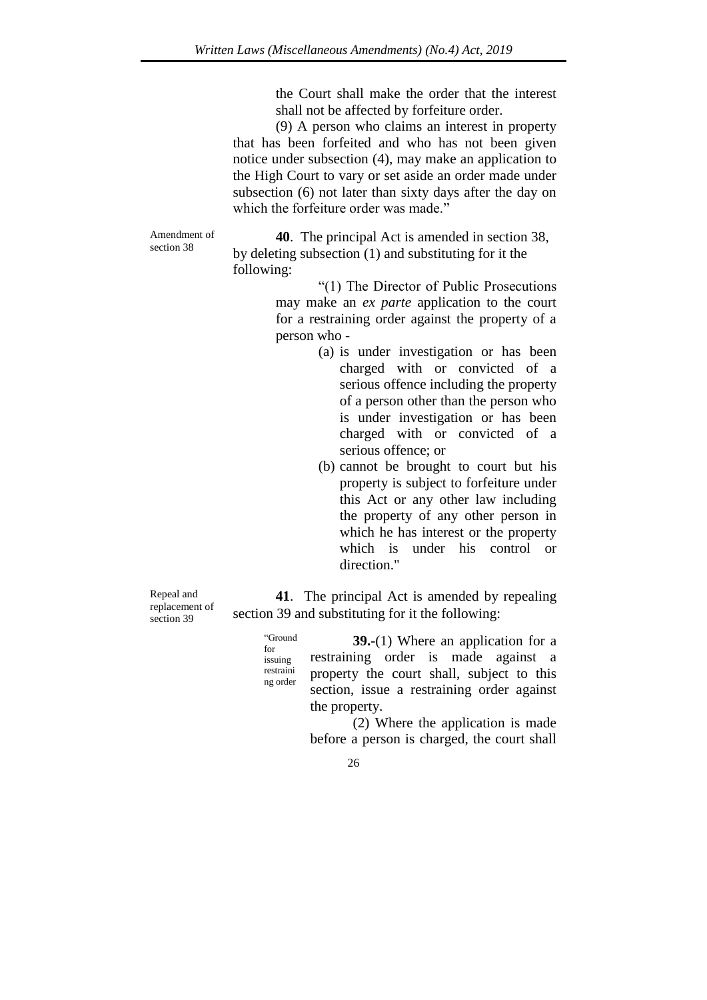the Court shall make the order that the interest shall not be affected by forfeiture order.

(9) A person who claims an interest in property that has been forfeited and who has not been given notice under subsection (4), may make an application to the High Court to vary or set aside an order made under subsection (6) not later than sixty days after the day on which the forfeiture order was made."

Amendment of section 38

**40**. The principal Act is amended in section 38, by deleting subsection (1) and substituting for it the following:

> "(1) The Director of Public Prosecutions may make an *ex parte* application to the court for a restraining order against the property of a person who -

- (a) is under investigation or has been charged with or convicted of a serious offence including the property of a person other than the person who is under investigation or has been charged with or convicted of a serious offence; or
- (b) cannot be brought to court but his property is subject to forfeiture under this Act or any other law including the property of any other person in which he has interest or the property which is under his control or direction."

Repeal and replacement of section 39

**41**. The principal Act is amended by repealing section 39 and substituting for it the following:

"Ground for issuing restraini ng order **39.**-(1) Where an application for a restraining order is made against a property the court shall, subject to this section, issue a restraining order against the property.

> (2) Where the application is made before a person is charged, the court shall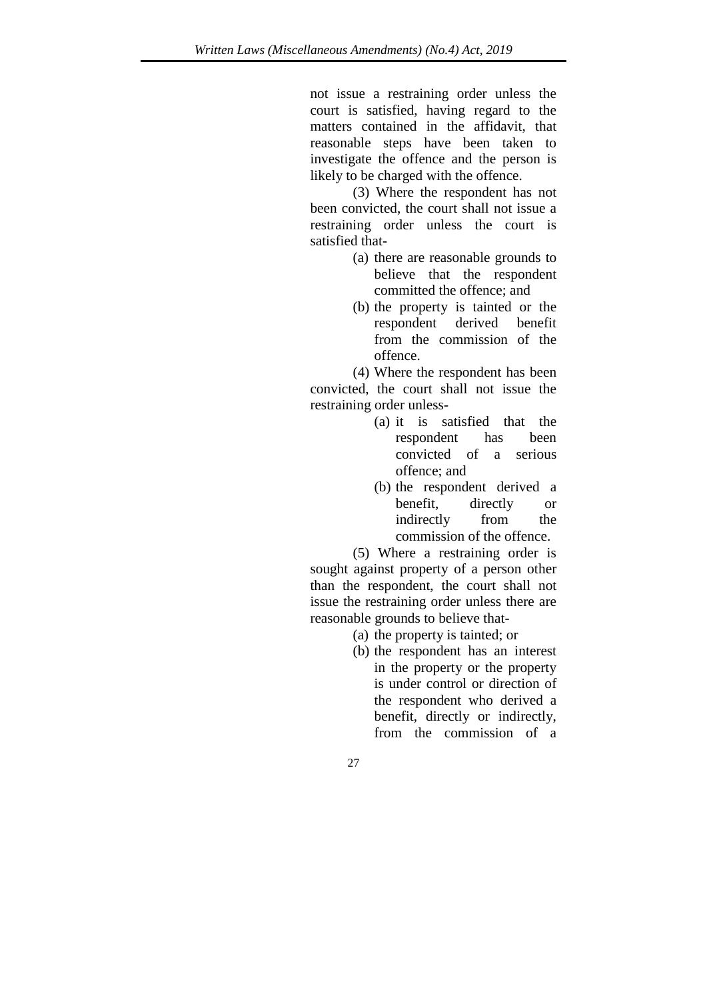not issue a restraining order unless the court is satisfied, having regard to the matters contained in the affidavit, that reasonable steps have been taken to investigate the offence and the person is likely to be charged with the offence.

(3) Where the respondent has not been convicted, the court shall not issue a restraining order unless the court is satisfied that-

- (a) there are reasonable grounds to believe that the respondent committed the offence; and
- (b) the property is tainted or the respondent derived benefit from the commission of the offence.

(4) Where the respondent has been convicted, the court shall not issue the restraining order unless-

- (a) it is satisfied that the respondent has been convicted of a serious offence; and
- (b) the respondent derived a benefit, directly or indirectly from the commission of the offence.

(5) Where a restraining order is sought against property of a person other than the respondent, the court shall not issue the restraining order unless there are reasonable grounds to believe that-

- (a) the property is tainted; or
- (b) the respondent has an interest in the property or the property is under control or direction of the respondent who derived a benefit, directly or indirectly, from the commission of a
- 27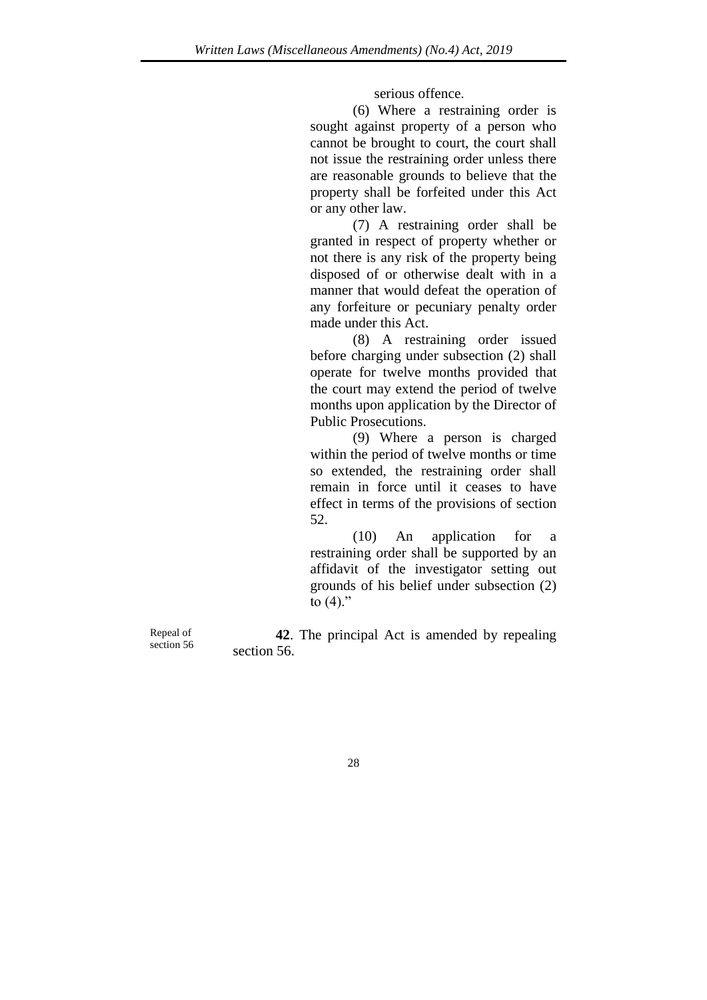serious offence.

(6) Where a restraining order is sought against property of a person who cannot be brought to court, the court shall not issue the restraining order unless there are reasonable grounds to believe that the property shall be forfeited under this Act or any other law.

(7) A restraining order shall be granted in respect of property whether or not there is any risk of the property being disposed of or otherwise dealt with in a manner that would defeat the operation of any forfeiture or pecuniary penalty order made under this Act.

(8) A restraining order issued before charging under subsection (2) shall operate for twelve months provided that the court may extend the period of twelve months upon application by the Director of Public Prosecutions.

(9) Where a person is charged within the period of twelve months or time so extended, the restraining order shall remain in force until it ceases to have effect in terms of the provisions of section 52.

(10) An application for a restraining order shall be supported by an affidavit of the investigator setting out grounds of his belief under subsection (2) to  $(4)$ ."

Repeal of section 56

**42**. The principal Act is amended by repealing section 56.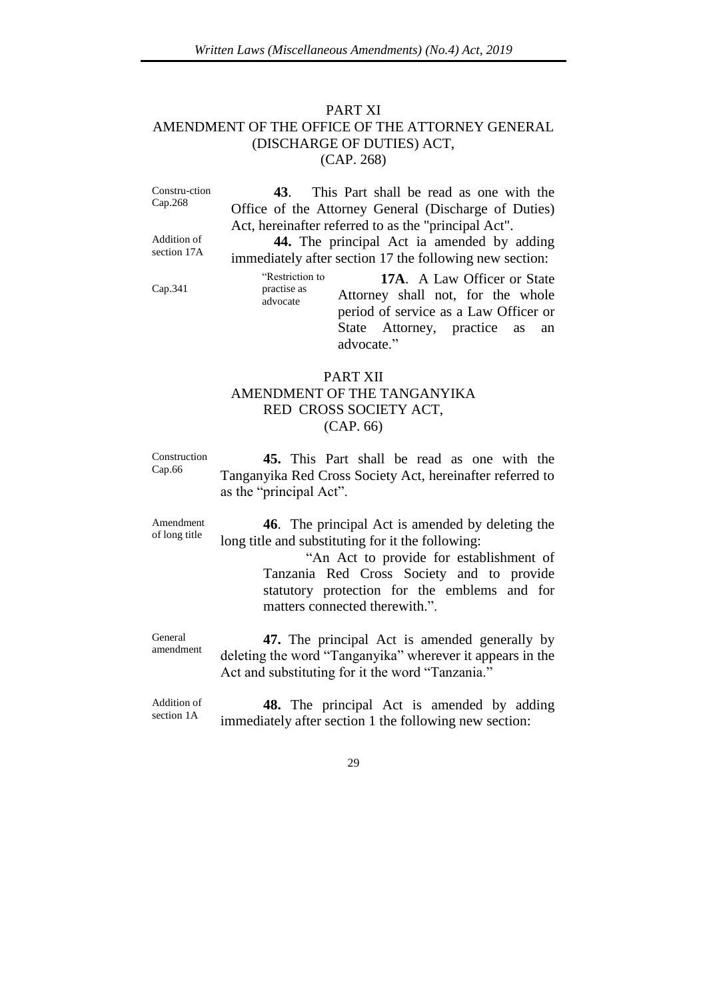### PART XI AMENDMENT OF THE OFFICE OF THE ATTORNEY GENERAL (DISCHARGE OF DUTIES) ACT, (CAP. 268)

Constru-ction Cap.268 **43**. This Part shall be read as one with the Office of the Attorney General (Discharge of Duties) Act, hereinafter referred to as the "principal Act". Addition of section 17A **44.** The principal Act ia amended by adding immediately after section 17 the following new section: "Restriction to

> practise as advocate

Cap.341

**17A**. A Law Officer or State Attorney shall not, for the whole period of service as a Law Officer or State Attorney, practice as an advocate."

## PART XII AMENDMENT OF THE TANGANYIKA RED CROSS SOCIETY ACT, (CAP. 66)

Construction Cap.66 **45.** This Part shall be read as one with the Tanganyika Red Cross Society Act, hereinafter referred to as the "principal Act".

Amendment of long title

**46**. The principal Act is amended by deleting the long title and substituting for it the following:

> "An Act to provide for establishment of Tanzania Red Cross Society and to provide statutory protection for the emblems and for matters connected therewith.".

General amendment **47.** The principal Act is amended generally by deleting the word "Tanganyika" wherever it appears in the Act and substituting for it the word "Tanzania."

Addition of section 1A **48.** The principal Act is amended by adding immediately after section 1 the following new section: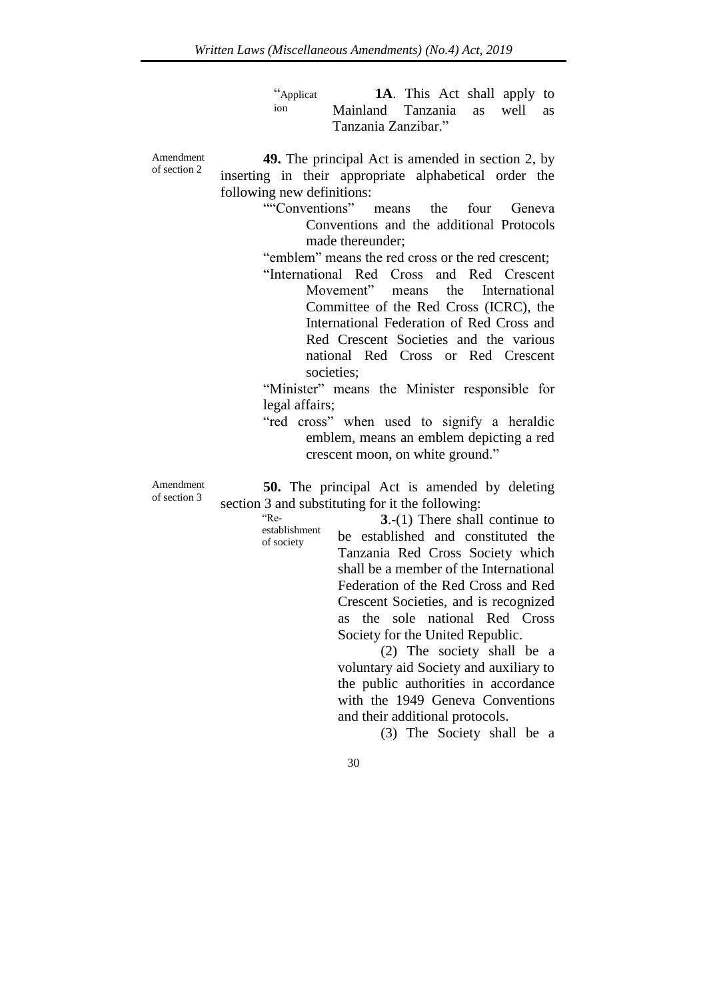"Applicat ion

**1A**. This Act shall apply to Mainland Tanzania as well as Tanzania Zanzibar."

Amendment of section 2

**49.** The principal Act is amended in section 2, by inserting in their appropriate alphabetical order the following new definitions:

""Conventions" means the four Geneva Conventions and the additional Protocols made thereunder;

"emblem" means the red cross or the red crescent;

"International Red Cross and Red Crescent Movement" means the International Committee of the Red Cross (ICRC), the International Federation of Red Cross and Red Crescent Societies and the various national Red Cross or Red Crescent societies:

"Minister" means the Minister responsible for legal affairs;

"red cross" when used to signify a heraldic emblem, means an emblem depicting a red crescent moon, on white ground."

Amendment of section 3

**50.** The principal Act is amended by deleting section 3 and substituting for it the following:

"Reestablishment of society

**3**.-(1) There shall continue to be established and constituted the Tanzania Red Cross Society which shall be a member of the International Federation of the Red Cross and Red Crescent Societies, and is recognized as the sole national Red Cross Society for the United Republic.

(2) The society shall be a voluntary aid Society and auxiliary to the public authorities in accordance with the 1949 Geneva Conventions and their additional protocols.

(3) The Society shall be a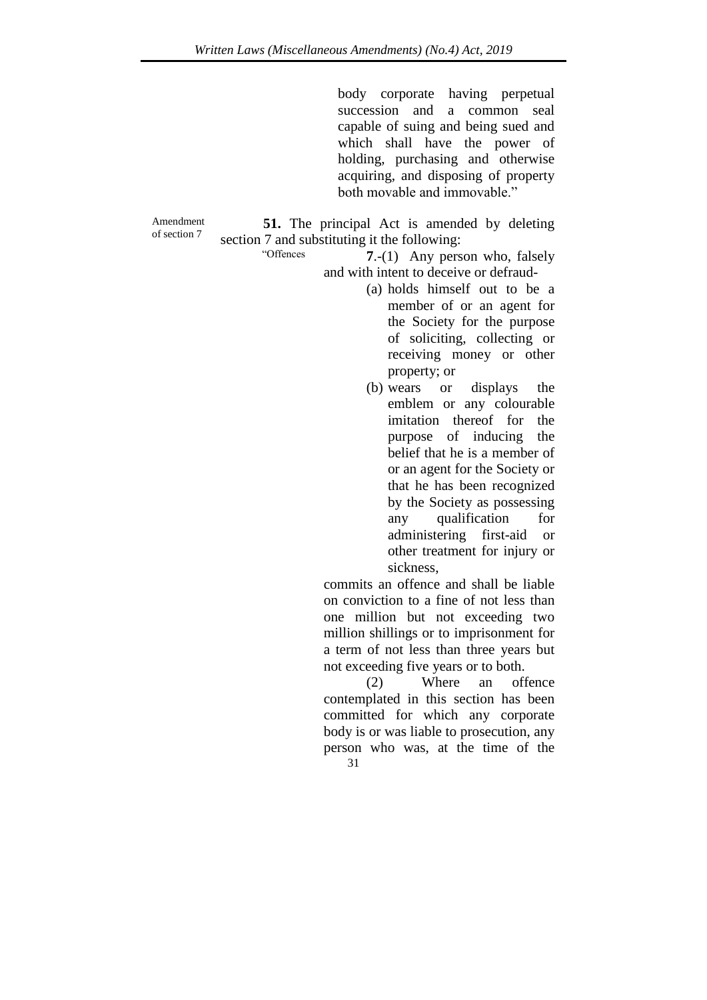body corporate having perpetual succession and a common seal capable of suing and being sued and which shall have the power of holding, purchasing and otherwise acquiring, and disposing of property both movable and immovable."

Amendment of section 7

**51.** The principal Act is amended by deleting section 7 and substituting it the following:<br>"Offences  $\frac{7-(1)}{2}$  Any person

 $7.-(1)$  Any person who, falsely and with intent to deceive or defraud-

- (a) holds himself out to be a member of or an agent for the Society for the purpose of soliciting, collecting or receiving money or other property; or
- (b) wears or displays the emblem or any colourable imitation thereof for the purpose of inducing the belief that he is a member of or an agent for the Society or that he has been recognized by the Society as possessing any qualification for administering first-aid or other treatment for injury or sickness,

commits an offence and shall be liable on conviction to a fine of not less than one million but not exceeding two million shillings or to imprisonment for a term of not less than three years but not exceeding five years or to both.

31 (2) Where an offence contemplated in this section has been committed for which any corporate body is or was liable to prosecution, any person who was, at the time of the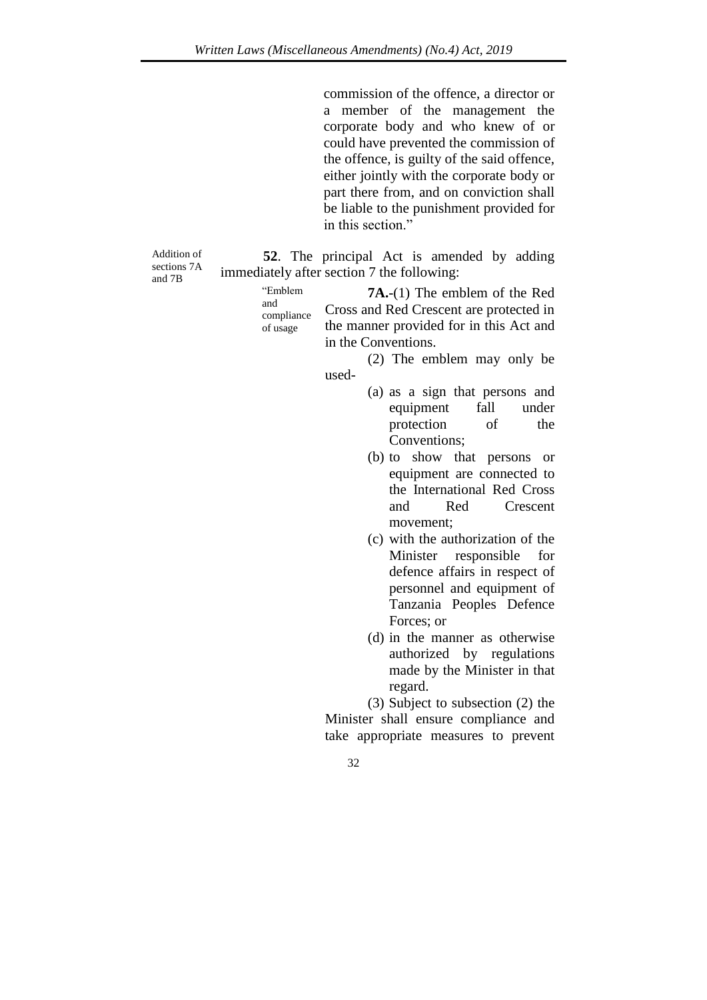commission of the offence, a director or a member of the management the corporate body and who knew of or could have prevented the commission of the offence, is guilty of the said offence, either jointly with the corporate body or part there from, and on conviction shall be liable to the punishment provided for in this section."

**52**. The principal Act is amended by adding immediately after section 7 the following:

> "Emblem and compliance of usage

**7A.**-(1) The emblem of the Red Cross and Red Crescent are protected in the manner provided for in this Act and in the Conventions.

(2) The emblem may only be used-

- (a) as a sign that persons and equipment fall under protection of the Conventions;
- (b) to show that persons or equipment are connected to the International Red Cross and Red Crescent movement;
- (c) with the authorization of the Minister responsible for defence affairs in respect of personnel and equipment of Tanzania Peoples Defence Forces; or
- (d) in the manner as otherwise authorized by regulations made by the Minister in that regard.

(3) Subject to subsection (2) the Minister shall ensure compliance and take appropriate measures to prevent

Addition of sections 7A and 7B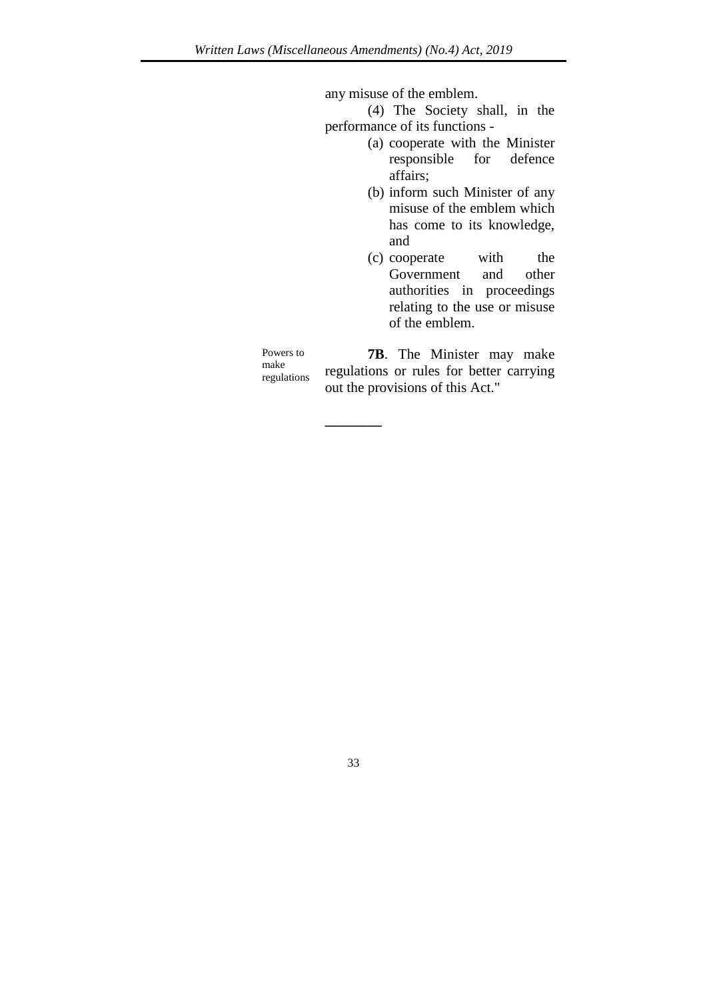any misuse of the emblem.

(4) The Society shall, in the performance of its functions -

- (a) cooperate with the Minister responsible for defence affairs;
- (b) inform such Minister of any misuse of the emblem which has come to its knowledge, and
- (c) cooperate with the Government and other authorities in proceedings relating to the use or misuse of the emblem.

Powers to make regulations

**7B**. The Minister may make regulations or rules for better carrying out the provisions of this Act."

33

**\_\_\_\_\_\_\_\_**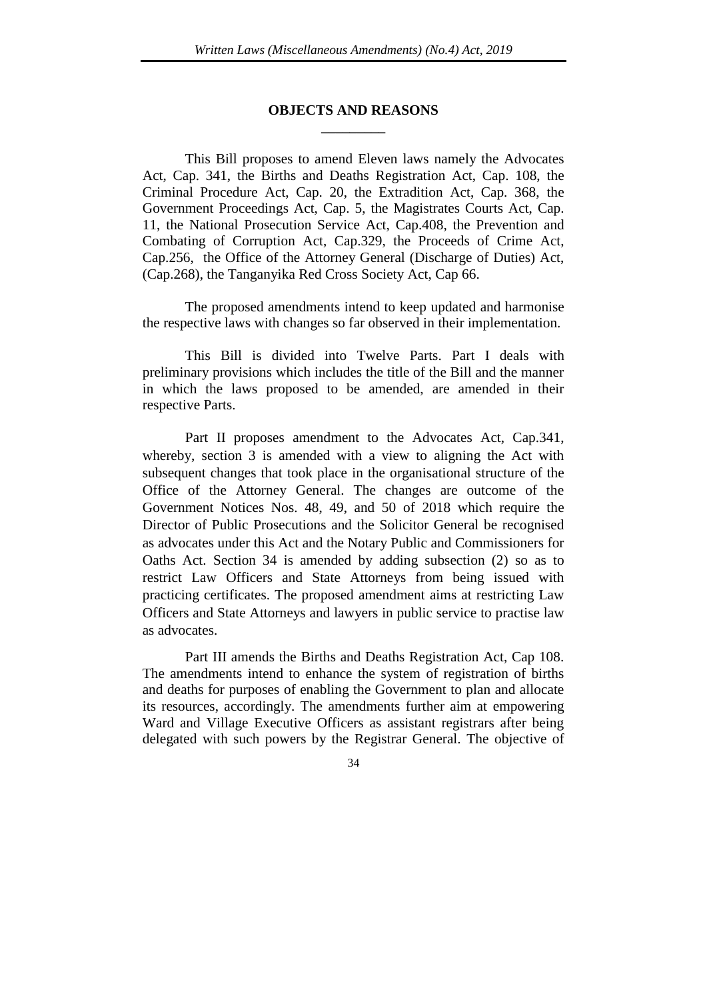## **OBJECTS AND REASONS \_\_\_\_\_\_\_\_\_**

This Bill proposes to amend Eleven laws namely the Advocates Act, Cap. 341, the Births and Deaths Registration Act, Cap. 108, the Criminal Procedure Act, Cap. 20, the Extradition Act, Cap. 368, the Government Proceedings Act, Cap. 5, the Magistrates Courts Act, Cap. 11, the National Prosecution Service Act, Cap.408, the Prevention and Combating of Corruption Act, Cap.329, the Proceeds of Crime Act, Cap.256, the Office of the Attorney General (Discharge of Duties) Act, (Cap.268), the Tanganyika Red Cross Society Act, Cap 66.

The proposed amendments intend to keep updated and harmonise the respective laws with changes so far observed in their implementation.

This Bill is divided into Twelve Parts. Part I deals with preliminary provisions which includes the title of the Bill and the manner in which the laws proposed to be amended, are amended in their respective Parts.

Part II proposes amendment to the Advocates Act, Cap.341, whereby, section 3 is amended with a view to aligning the Act with subsequent changes that took place in the organisational structure of the Office of the Attorney General. The changes are outcome of the Government Notices Nos. 48, 49, and 50 of 2018 which require the Director of Public Prosecutions and the Solicitor General be recognised as advocates under this Act and the Notary Public and Commissioners for Oaths Act. Section 34 is amended by adding subsection (2) so as to restrict Law Officers and State Attorneys from being issued with practicing certificates. The proposed amendment aims at restricting Law Officers and State Attorneys and lawyers in public service to practise law as advocates.

Part III amends the Births and Deaths Registration Act, Cap 108. The amendments intend to enhance the system of registration of births and deaths for purposes of enabling the Government to plan and allocate its resources, accordingly. The amendments further aim at empowering Ward and Village Executive Officers as assistant registrars after being delegated with such powers by the Registrar General. The objective of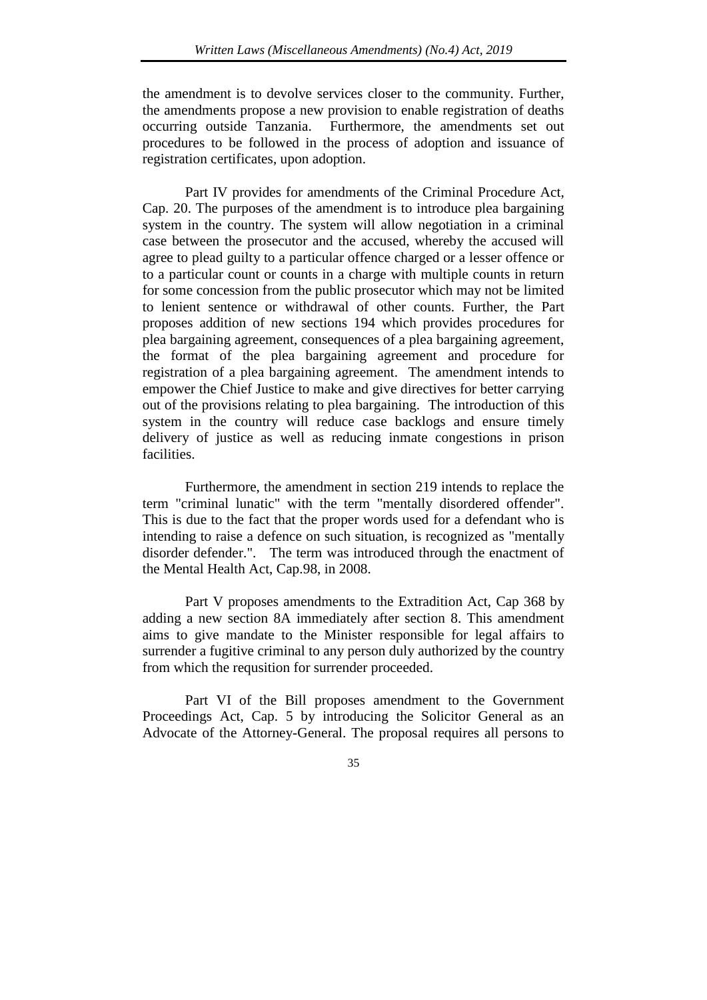the amendment is to devolve services closer to the community. Further, the amendments propose a new provision to enable registration of deaths occurring outside Tanzania. Furthermore, the amendments set out procedures to be followed in the process of adoption and issuance of registration certificates, upon adoption.

Part IV provides for amendments of the Criminal Procedure Act, Cap. 20. The purposes of the amendment is to introduce plea bargaining system in the country. The system will allow negotiation in a criminal case between the prosecutor and the accused, whereby the accused will agree to plead guilty to a particular offence charged or a lesser offence or to a particular count or counts in a charge with multiple counts in return for some concession from the public prosecutor which may not be limited to lenient sentence or withdrawal of other counts. Further, the Part proposes addition of new sections 194 which provides procedures for plea bargaining agreement, consequences of a plea bargaining agreement, the format of the plea bargaining agreement and procedure for registration of a plea bargaining agreement. The amendment intends to empower the Chief Justice to make and give directives for better carrying out of the provisions relating to plea bargaining. The introduction of this system in the country will reduce case backlogs and ensure timely delivery of justice as well as reducing inmate congestions in prison facilities.

Furthermore, the amendment in section 219 intends to replace the term "criminal lunatic" with the term "mentally disordered offender". This is due to the fact that the proper words used for a defendant who is intending to raise a defence on such situation, is recognized as "mentally disorder defender.". The term was introduced through the enactment of the Mental Health Act, Cap.98, in 2008.

Part V proposes amendments to the Extradition Act, Cap 368 by adding a new section 8A immediately after section 8. This amendment aims to give mandate to the Minister responsible for legal affairs to surrender a fugitive criminal to any person duly authorized by the country from which the requsition for surrender proceeded.

Part VI of the Bill proposes amendment to the Government Proceedings Act, Cap. 5 by introducing the Solicitor General as an Advocate of the Attorney-General. The proposal requires all persons to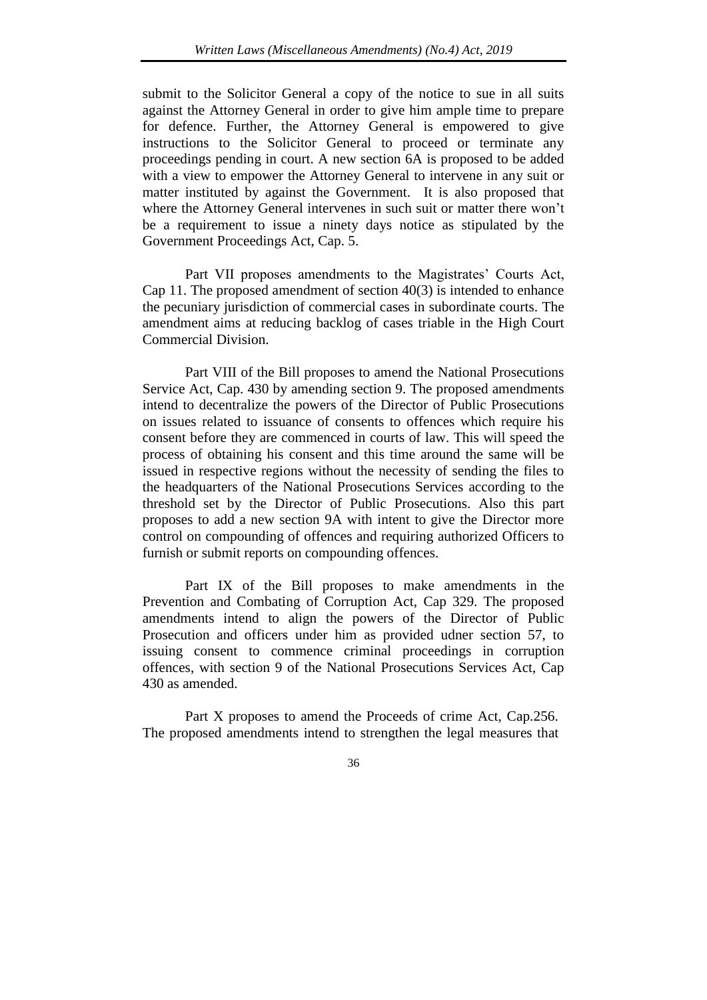submit to the Solicitor General a copy of the notice to sue in all suits against the Attorney General in order to give him ample time to prepare for defence. Further, the Attorney General is empowered to give instructions to the Solicitor General to proceed or terminate any proceedings pending in court. A new section 6A is proposed to be added with a view to empower the Attorney General to intervene in any suit or matter instituted by against the Government. It is also proposed that where the Attorney General intervenes in such suit or matter there won't be a requirement to issue a ninety days notice as stipulated by the Government Proceedings Act, Cap. 5.

Part VII proposes amendments to the Magistrates' Courts Act, Cap 11. The proposed amendment of section 40(3) is intended to enhance the pecuniary jurisdiction of commercial cases in subordinate courts. The amendment aims at reducing backlog of cases triable in the High Court Commercial Division.

Part VIII of the Bill proposes to amend the National Prosecutions Service Act, Cap. 430 by amending section 9. The proposed amendments intend to decentralize the powers of the Director of Public Prosecutions on issues related to issuance of consents to offences which require his consent before they are commenced in courts of law. This will speed the process of obtaining his consent and this time around the same will be issued in respective regions without the necessity of sending the files to the headquarters of the National Prosecutions Services according to the threshold set by the Director of Public Prosecutions. Also this part proposes to add a new section 9A with intent to give the Director more control on compounding of offences and requiring authorized Officers to furnish or submit reports on compounding offences.

Part IX of the Bill proposes to make amendments in the Prevention and Combating of Corruption Act, Cap 329. The proposed amendments intend to align the powers of the Director of Public Prosecution and officers under him as provided udner section 57, to issuing consent to commence criminal proceedings in corruption offences, with section 9 of the National Prosecutions Services Act, Cap 430 as amended.

Part X proposes to amend the Proceeds of crime Act, Cap.256. The proposed amendments intend to strengthen the legal measures that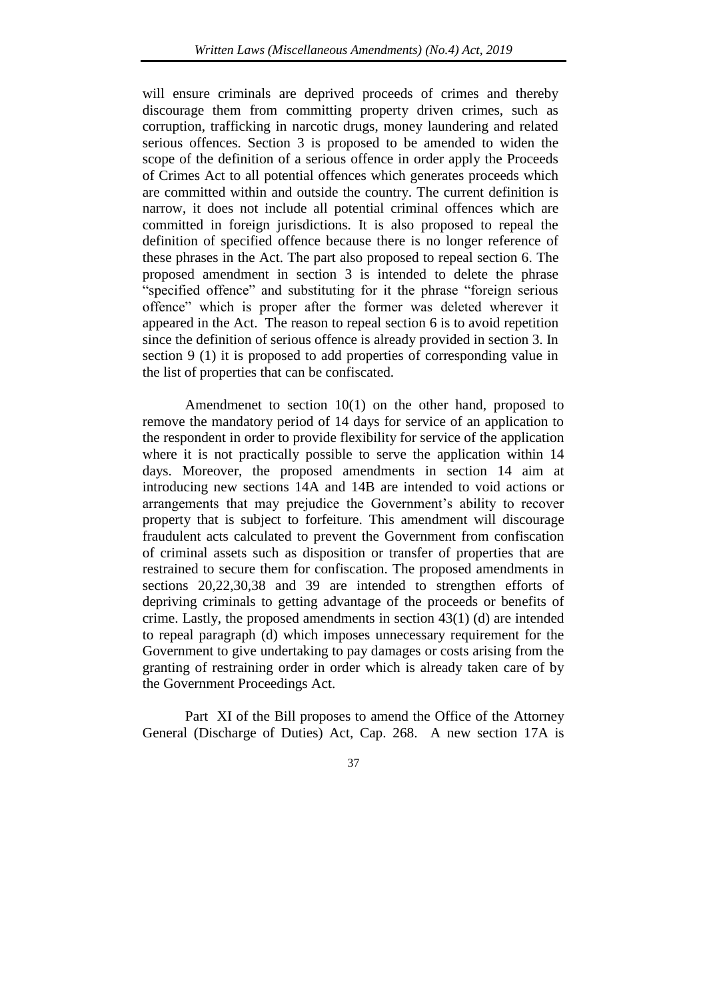will ensure criminals are deprived proceeds of crimes and thereby discourage them from committing property driven crimes, such as corruption, trafficking in narcotic drugs, money laundering and related serious offences. Section 3 is proposed to be amended to widen the scope of the definition of a serious offence in order apply the Proceeds of Crimes Act to all potential offences which generates proceeds which are committed within and outside the country. The current definition is narrow, it does not include all potential criminal offences which are committed in foreign jurisdictions. It is also proposed to repeal the definition of specified offence because there is no longer reference of these phrases in the Act. The part also proposed to repeal section 6. The proposed amendment in section 3 is intended to delete the phrase "specified offence" and substituting for it the phrase "foreign serious offence" which is proper after the former was deleted wherever it appeared in the Act. The reason to repeal section 6 is to avoid repetition since the definition of serious offence is already provided in section 3. In section 9 (1) it is proposed to add properties of corresponding value in the list of properties that can be confiscated.

Amendmenet to section 10(1) on the other hand, proposed to remove the mandatory period of 14 days for service of an application to the respondent in order to provide flexibility for service of the application where it is not practically possible to serve the application within 14 days. Moreover, the proposed amendments in section 14 aim at introducing new sections 14A and 14B are intended to void actions or arrangements that may prejudice the Government's ability to recover property that is subject to forfeiture. This amendment will discourage fraudulent acts calculated to prevent the Government from confiscation of criminal assets such as disposition or transfer of properties that are restrained to secure them for confiscation. The proposed amendments in sections 20,22,30,38 and 39 are intended to strengthen efforts of depriving criminals to getting advantage of the proceeds or benefits of crime. Lastly, the proposed amendments in section 43(1) (d) are intended to repeal paragraph (d) which imposes unnecessary requirement for the Government to give undertaking to pay damages or costs arising from the granting of restraining order in order which is already taken care of by the Government Proceedings Act.

Part XI of the Bill proposes to amend the Office of the Attorney General (Discharge of Duties) Act, Cap. 268. A new section 17A is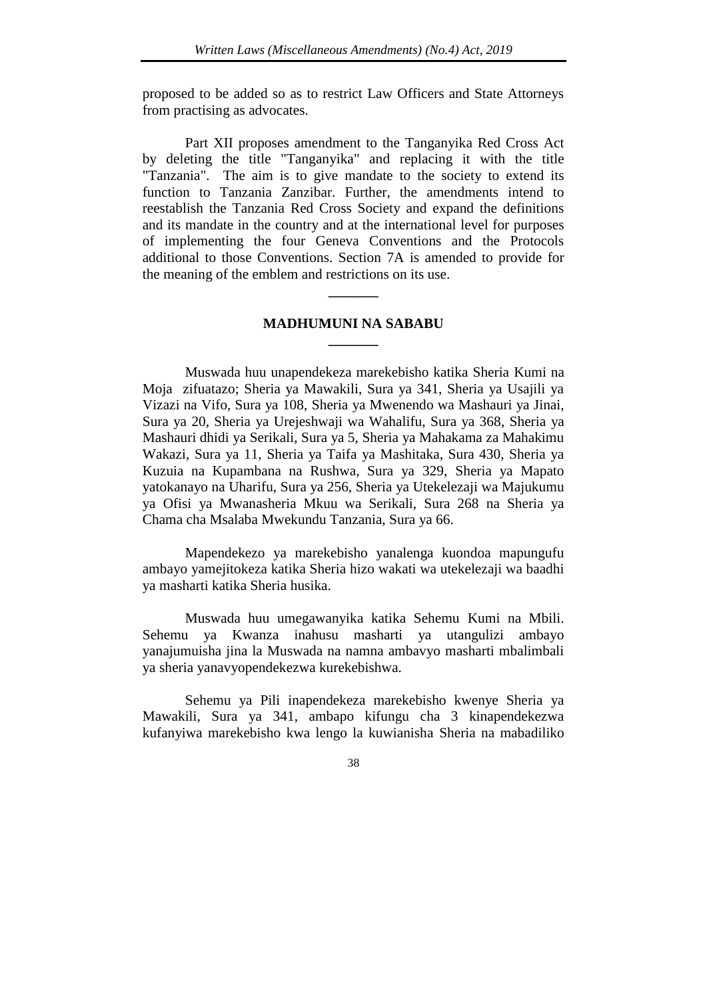proposed to be added so as to restrict Law Officers and State Attorneys from practising as advocates.

Part XII proposes amendment to the Tanganyika Red Cross Act by deleting the title "Tanganyika" and replacing it with the title "Tanzania". The aim is to give mandate to the society to extend its function to Tanzania Zanzibar. Further, the amendments intend to reestablish the Tanzania Red Cross Society and expand the definitions and its mandate in the country and at the international level for purposes of implementing the four Geneva Conventions and the Protocols additional to those Conventions. Section 7A is amended to provide for the meaning of the emblem and restrictions on its use.

## **MADHUMUNI NA SABABU \_\_\_\_\_\_\_**

**\_\_\_\_\_\_\_**

Muswada huu unapendekeza marekebisho katika Sheria Kumi na Moja zifuatazo; Sheria ya Mawakili, Sura ya 341, Sheria ya Usajili ya Vizazi na Vifo, Sura ya 108, Sheria ya Mwenendo wa Mashauri ya Jinai, Sura ya 20, Sheria ya Urejeshwaji wa Wahalifu, Sura ya 368, Sheria ya Mashauri dhidi ya Serikali, Sura ya 5, Sheria ya Mahakama za Mahakimu Wakazi, Sura ya 11, Sheria ya Taifa ya Mashitaka, Sura 430, Sheria ya Kuzuia na Kupambana na Rushwa, Sura ya 329, Sheria ya Mapato yatokanayo na Uharifu, Sura ya 256, Sheria ya Utekelezaji wa Majukumu ya Ofisi ya Mwanasheria Mkuu wa Serikali, Sura 268 na Sheria ya Chama cha Msalaba Mwekundu Tanzania, Sura ya 66.

Mapendekezo ya marekebisho yanalenga kuondoa mapungufu ambayo yamejitokeza katika Sheria hizo wakati wa utekelezaji wa baadhi ya masharti katika Sheria husika.

Muswada huu umegawanyika katika Sehemu Kumi na Mbili. Sehemu ya Kwanza inahusu masharti ya utangulizi ambayo yanajumuisha jina la Muswada na namna ambavyo masharti mbalimbali ya sheria yanavyopendekezwa kurekebishwa.

Sehemu ya Pili inapendekeza marekebisho kwenye Sheria ya Mawakili, Sura ya 341, ambapo kifungu cha 3 kinapendekezwa kufanyiwa marekebisho kwa lengo la kuwianisha Sheria na mabadiliko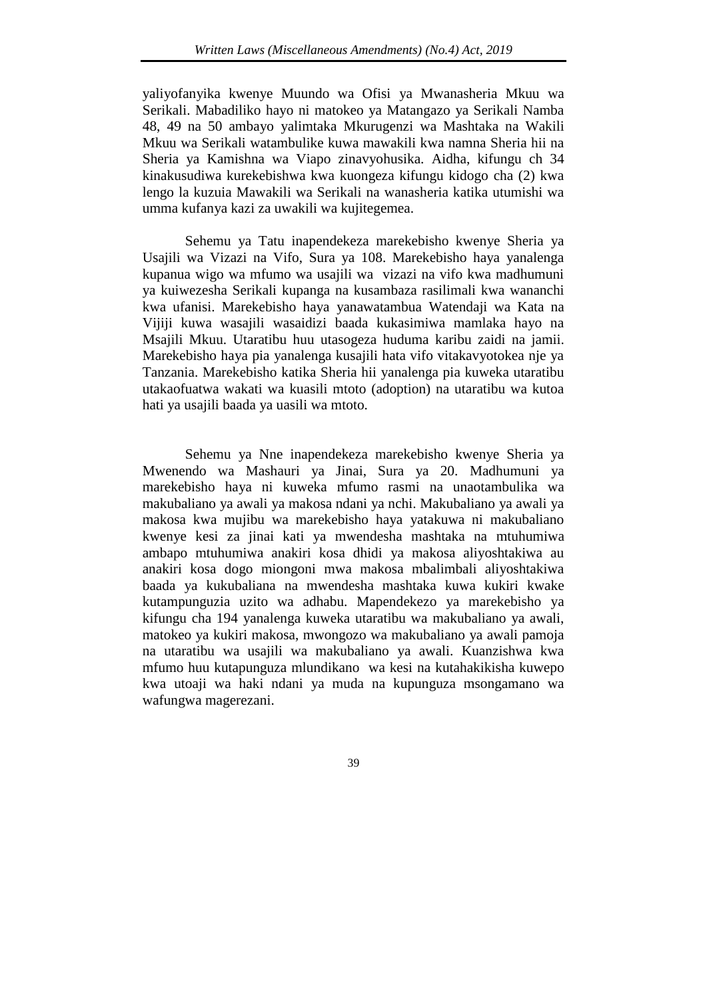yaliyofanyika kwenye Muundo wa Ofisi ya Mwanasheria Mkuu wa Serikali. Mabadiliko hayo ni matokeo ya Matangazo ya Serikali Namba 48, 49 na 50 ambayo yalimtaka Mkurugenzi wa Mashtaka na Wakili Mkuu wa Serikali watambulike kuwa mawakili kwa namna Sheria hii na Sheria ya Kamishna wa Viapo zinavyohusika. Aidha, kifungu ch 34 kinakusudiwa kurekebishwa kwa kuongeza kifungu kidogo cha (2) kwa lengo la kuzuia Mawakili wa Serikali na wanasheria katika utumishi wa umma kufanya kazi za uwakili wa kujitegemea.

Sehemu ya Tatu inapendekeza marekebisho kwenye Sheria ya Usajili wa Vizazi na Vifo, Sura ya 108. Marekebisho haya yanalenga kupanua wigo wa mfumo wa usajili wa vizazi na vifo kwa madhumuni ya kuiwezesha Serikali kupanga na kusambaza rasilimali kwa wananchi kwa ufanisi. Marekebisho haya yanawatambua Watendaji wa Kata na Vijiji kuwa wasajili wasaidizi baada kukasimiwa mamlaka hayo na Msajili Mkuu. Utaratibu huu utasogeza huduma karibu zaidi na jamii. Marekebisho haya pia yanalenga kusajili hata vifo vitakavyotokea nje ya Tanzania. Marekebisho katika Sheria hii yanalenga pia kuweka utaratibu utakaofuatwa wakati wa kuasili mtoto (adoption) na utaratibu wa kutoa hati ya usajili baada ya uasili wa mtoto.

Sehemu ya Nne inapendekeza marekebisho kwenye Sheria ya Mwenendo wa Mashauri ya Jinai, Sura ya 20. Madhumuni ya marekebisho haya ni kuweka mfumo rasmi na unaotambulika wa makubaliano ya awali ya makosa ndani ya nchi. Makubaliano ya awali ya makosa kwa mujibu wa marekebisho haya yatakuwa ni makubaliano kwenye kesi za jinai kati ya mwendesha mashtaka na mtuhumiwa ambapo mtuhumiwa anakiri kosa dhidi ya makosa aliyoshtakiwa au anakiri kosa dogo miongoni mwa makosa mbalimbali aliyoshtakiwa baada ya kukubaliana na mwendesha mashtaka kuwa kukiri kwake kutampunguzia uzito wa adhabu. Mapendekezo ya marekebisho ya kifungu cha 194 yanalenga kuweka utaratibu wa makubaliano ya awali, matokeo ya kukiri makosa, mwongozo wa makubaliano ya awali pamoja na utaratibu wa usajili wa makubaliano ya awali. Kuanzishwa kwa mfumo huu kutapunguza mlundikano wa kesi na kutahakikisha kuwepo kwa utoaji wa haki ndani ya muda na kupunguza msongamano wa wafungwa magerezani.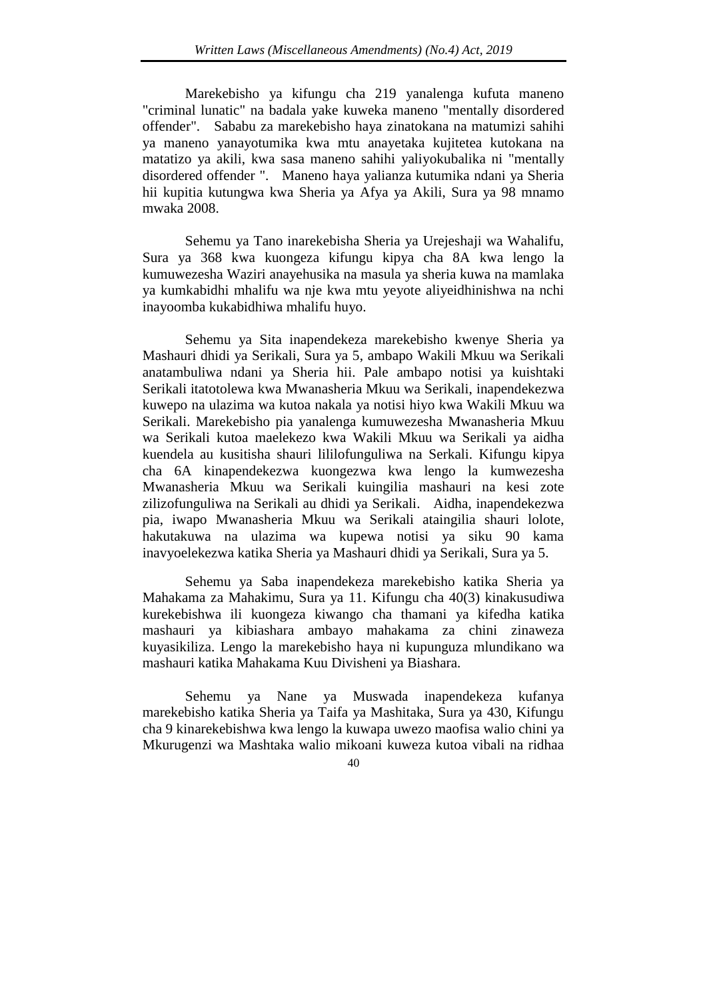Marekebisho ya kifungu cha 219 yanalenga kufuta maneno "criminal lunatic" na badala yake kuweka maneno "mentally disordered offender". Sababu za marekebisho haya zinatokana na matumizi sahihi ya maneno yanayotumika kwa mtu anayetaka kujitetea kutokana na matatizo ya akili, kwa sasa maneno sahihi yaliyokubalika ni "mentally disordered offender ". Maneno haya yalianza kutumika ndani ya Sheria hii kupitia kutungwa kwa Sheria ya Afya ya Akili, Sura ya 98 mnamo mwaka 2008.

Sehemu ya Tano inarekebisha Sheria ya Urejeshaji wa Wahalifu, Sura ya 368 kwa kuongeza kifungu kipya cha 8A kwa lengo la kumuwezesha Waziri anayehusika na masula ya sheria kuwa na mamlaka ya kumkabidhi mhalifu wa nje kwa mtu yeyote aliyeidhinishwa na nchi inayoomba kukabidhiwa mhalifu huyo.

Sehemu ya Sita inapendekeza marekebisho kwenye Sheria ya Mashauri dhidi ya Serikali, Sura ya 5, ambapo Wakili Mkuu wa Serikali anatambuliwa ndani ya Sheria hii. Pale ambapo notisi ya kuishtaki Serikali itatotolewa kwa Mwanasheria Mkuu wa Serikali, inapendekezwa kuwepo na ulazima wa kutoa nakala ya notisi hiyo kwa Wakili Mkuu wa Serikali. Marekebisho pia yanalenga kumuwezesha Mwanasheria Mkuu wa Serikali kutoa maelekezo kwa Wakili Mkuu wa Serikali ya aidha kuendela au kusitisha shauri lililofunguliwa na Serkali. Kifungu kipya cha 6A kinapendekezwa kuongezwa kwa lengo la kumwezesha Mwanasheria Mkuu wa Serikali kuingilia mashauri na kesi zote zilizofunguliwa na Serikali au dhidi ya Serikali. Aidha, inapendekezwa pia, iwapo Mwanasheria Mkuu wa Serikali ataingilia shauri lolote, hakutakuwa na ulazima wa kupewa notisi ya siku 90 kama inavyoelekezwa katika Sheria ya Mashauri dhidi ya Serikali, Sura ya 5.

Sehemu ya Saba inapendekeza marekebisho katika Sheria ya Mahakama za Mahakimu, Sura ya 11. Kifungu cha 40(3) kinakusudiwa kurekebishwa ili kuongeza kiwango cha thamani ya kifedha katika mashauri ya kibiashara ambayo mahakama za chini zinaweza kuyasikiliza. Lengo la marekebisho haya ni kupunguza mlundikano wa mashauri katika Mahakama Kuu Divisheni ya Biashara.

Sehemu ya Nane ya Muswada inapendekeza kufanya marekebisho katika Sheria ya Taifa ya Mashitaka, Sura ya 430, Kifungu cha 9 kinarekebishwa kwa lengo la kuwapa uwezo maofisa walio chini ya Mkurugenzi wa Mashtaka walio mikoani kuweza kutoa vibali na ridhaa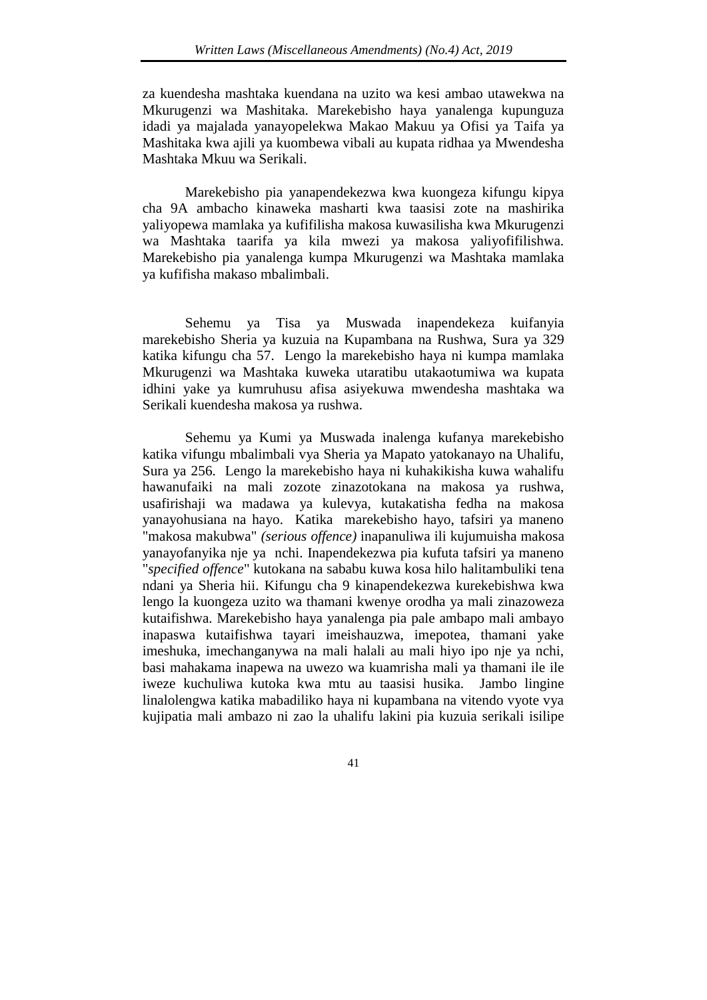za kuendesha mashtaka kuendana na uzito wa kesi ambao utawekwa na Mkurugenzi wa Mashitaka. Marekebisho haya yanalenga kupunguza idadi ya majalada yanayopelekwa Makao Makuu ya Ofisi ya Taifa ya Mashitaka kwa ajili ya kuombewa vibali au kupata ridhaa ya Mwendesha Mashtaka Mkuu wa Serikali.

Marekebisho pia yanapendekezwa kwa kuongeza kifungu kipya cha 9A ambacho kinaweka masharti kwa taasisi zote na mashirika yaliyopewa mamlaka ya kufifilisha makosa kuwasilisha kwa Mkurugenzi wa Mashtaka taarifa ya kila mwezi ya makosa yaliyofifilishwa. Marekebisho pia yanalenga kumpa Mkurugenzi wa Mashtaka mamlaka ya kufifisha makaso mbalimbali.

Sehemu ya Tisa ya Muswada inapendekeza kuifanyia marekebisho Sheria ya kuzuia na Kupambana na Rushwa, Sura ya 329 katika kifungu cha 57. Lengo la marekebisho haya ni kumpa mamlaka Mkurugenzi wa Mashtaka kuweka utaratibu utakaotumiwa wa kupata idhini yake ya kumruhusu afisa asiyekuwa mwendesha mashtaka wa Serikali kuendesha makosa ya rushwa.

Sehemu ya Kumi ya Muswada inalenga kufanya marekebisho katika vifungu mbalimbali vya Sheria ya Mapato yatokanayo na Uhalifu, Sura ya 256. Lengo la marekebisho haya ni kuhakikisha kuwa wahalifu hawanufaiki na mali zozote zinazotokana na makosa ya rushwa, usafirishaji wa madawa ya kulevya, kutakatisha fedha na makosa yanayohusiana na hayo. Katika marekebisho hayo, tafsiri ya maneno "makosa makubwa" *(serious offence)* inapanuliwa ili kujumuisha makosa yanayofanyika nje ya nchi. Inapendekezwa pia kufuta tafsiri ya maneno "*specified offence*" kutokana na sababu kuwa kosa hilo halitambuliki tena ndani ya Sheria hii. Kifungu cha 9 kinapendekezwa kurekebishwa kwa lengo la kuongeza uzito wa thamani kwenye orodha ya mali zinazoweza kutaifishwa. Marekebisho haya yanalenga pia pale ambapo mali ambayo inapaswa kutaifishwa tayari imeishauzwa, imepotea, thamani yake imeshuka, imechanganywa na mali halali au mali hiyo ipo nje ya nchi, basi mahakama inapewa na uwezo wa kuamrisha mali ya thamani ile ile iweze kuchuliwa kutoka kwa mtu au taasisi husika. Jambo lingine linalolengwa katika mabadiliko haya ni kupambana na vitendo vyote vya kujipatia mali ambazo ni zao la uhalifu lakini pia kuzuia serikali isilipe